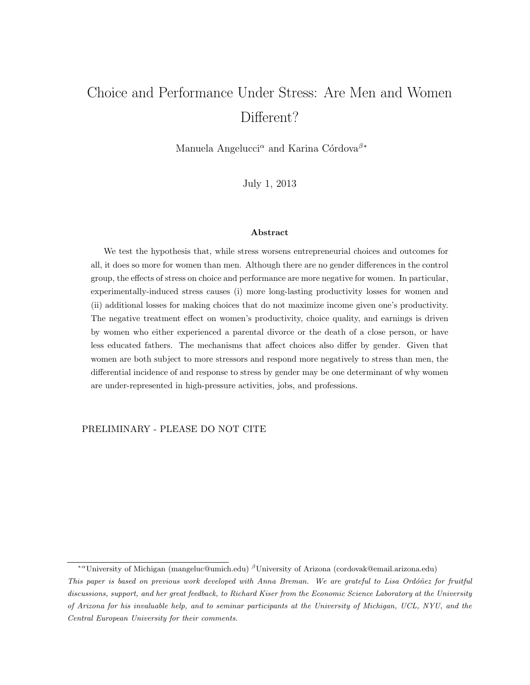# Choice and Performance Under Stress: Are Men and Women Different?

Manuela Angelucci<sup> $\alpha$ </sup> and Karina Córdova<sup> $\beta$ </sup><sup>\*</sup>

July 1, 2013

#### Abstract

We test the hypothesis that, while stress worsens entrepreneurial choices and outcomes for all, it does so more for women than men. Although there are no gender differences in the control group, the effects of stress on choice and performance are more negative for women. In particular, experimentally-induced stress causes (i) more long-lasting productivity losses for women and (ii) additional losses for making choices that do not maximize income given one's productivity. The negative treatment effect on women's productivity, choice quality, and earnings is driven by women who either experienced a parental divorce or the death of a close person, or have less educated fathers. The mechanisms that affect choices also differ by gender. Given that women are both subject to more stressors and respond more negatively to stress than men, the differential incidence of and response to stress by gender may be one determinant of why women are under-represented in high-pressure activities, jobs, and professions.

PRELIMINARY - PLEASE DO NOT CITE

<sup>∗</sup><sup>α</sup>University of Michigan (mangeluc@umich.edu) <sup>β</sup>University of Arizona (cordovak@email.arizona.edu)

This paper is based on previous work developed with Anna Breman. We are grateful to Lisa Ordóñez for fruitful discussions, support, and her great feedback, to Richard Kiser from the Economic Science Laboratory at the University of Arizona for his invaluable help, and to seminar participants at the University of Michigan, UCL, NYU, and the Central European University for their comments.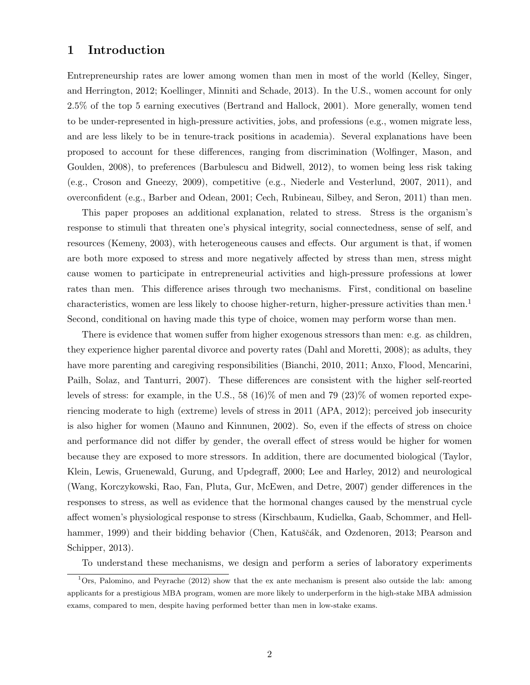## 1 Introduction

Entrepreneurship rates are lower among women than men in most of the world (Kelley, Singer, and Herrington, 2012; Koellinger, Minniti and Schade, 2013). In the U.S., women account for only 2.5% of the top 5 earning executives (Bertrand and Hallock, 2001). More generally, women tend to be under-represented in high-pressure activities, jobs, and professions (e.g., women migrate less, and are less likely to be in tenure-track positions in academia). Several explanations have been proposed to account for these differences, ranging from discrimination (Wolfinger, Mason, and Goulden, 2008), to preferences (Barbulescu and Bidwell, 2012), to women being less risk taking (e.g., Croson and Gneezy, 2009), competitive (e.g., Niederle and Vesterlund, 2007, 2011), and overconfident (e.g., Barber and Odean, 2001; Cech, Rubineau, Silbey, and Seron, 2011) than men.

This paper proposes an additional explanation, related to stress. Stress is the organism's response to stimuli that threaten one's physical integrity, social connectedness, sense of self, and resources (Kemeny, 2003), with heterogeneous causes and effects. Our argument is that, if women are both more exposed to stress and more negatively affected by stress than men, stress might cause women to participate in entrepreneurial activities and high-pressure professions at lower rates than men. This difference arises through two mechanisms. First, conditional on baseline characteristics, women are less likely to choose higher-return, higher-pressure activities than men.<sup>1</sup> Second, conditional on having made this type of choice, women may perform worse than men.

There is evidence that women suffer from higher exogenous stressors than men: e.g. as children, they experience higher parental divorce and poverty rates (Dahl and Moretti, 2008); as adults, they have more parenting and caregiving responsibilities (Bianchi, 2010, 2011; Anxo, Flood, Mencarini, Pailh, Solaz, and Tanturri, 2007). These differences are consistent with the higher self-reorted levels of stress: for example, in the U.S., 58 (16)% of men and 79 (23)% of women reported experiencing moderate to high (extreme) levels of stress in 2011 (APA, 2012); perceived job insecurity is also higher for women (Mauno and Kinnunen, 2002). So, even if the effects of stress on choice and performance did not differ by gender, the overall effect of stress would be higher for women because they are exposed to more stressors. In addition, there are documented biological (Taylor, Klein, Lewis, Gruenewald, Gurung, and Updegraff, 2000; Lee and Harley, 2012) and neurological (Wang, Korczykowski, Rao, Fan, Pluta, Gur, McEwen, and Detre, 2007) gender differences in the responses to stress, as well as evidence that the hormonal changes caused by the menstrual cycle affect women's physiological response to stress (Kirschbaum, Kudielka, Gaab, Schommer, and Hellhammer, 1999) and their bidding behavior (Chen, Katuščák, and Ozdenoren, 2013; Pearson and Schipper, 2013).

To understand these mechanisms, we design and perform a series of laboratory experiments

<sup>&</sup>lt;sup>1</sup>Ors, Palomino, and Peyrache (2012) show that the ex ante mechanism is present also outside the lab: among applicants for a prestigious MBA program, women are more likely to underperform in the high-stake MBA admission exams, compared to men, despite having performed better than men in low-stake exams.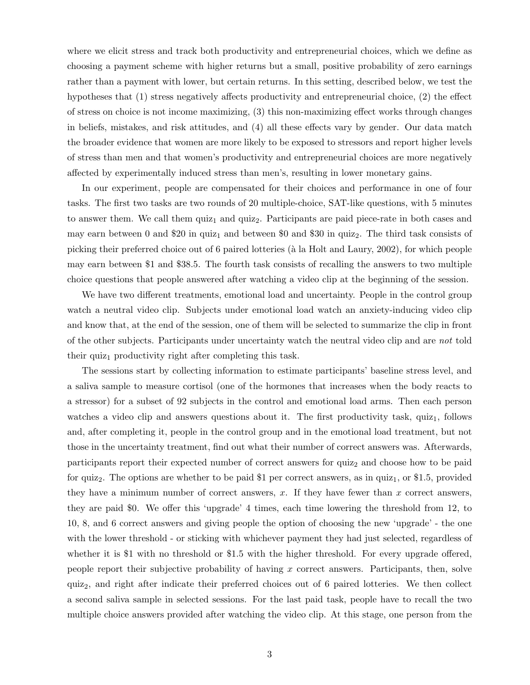where we elicit stress and track both productivity and entrepreneurial choices, which we define as choosing a payment scheme with higher returns but a small, positive probability of zero earnings rather than a payment with lower, but certain returns. In this setting, described below, we test the hypotheses that (1) stress negatively affects productivity and entrepreneurial choice, (2) the effect of stress on choice is not income maximizing, (3) this non-maximizing effect works through changes in beliefs, mistakes, and risk attitudes, and (4) all these effects vary by gender. Our data match the broader evidence that women are more likely to be exposed to stressors and report higher levels of stress than men and that women's productivity and entrepreneurial choices are more negatively affected by experimentally induced stress than men's, resulting in lower monetary gains.

In our experiment, people are compensated for their choices and performance in one of four tasks. The first two tasks are two rounds of 20 multiple-choice, SAT-like questions, with 5 minutes to answer them. We call them  $\text{quiz}_1$  and  $\text{quiz}_2$ . Participants are paid piece-rate in both cases and may earn between 0 and \$20 in quiz<sub>1</sub> and between \$0 and \$30 in quiz<sub>2</sub>. The third task consists of picking their preferred choice out of 6 paired lotteries (à la Holt and Laury, 2002), for which people may earn between \$1 and \$38.5. The fourth task consists of recalling the answers to two multiple choice questions that people answered after watching a video clip at the beginning of the session.

We have two different treatments, emotional load and uncertainty. People in the control group watch a neutral video clip. Subjects under emotional load watch an anxiety-inducing video clip and know that, at the end of the session, one of them will be selected to summarize the clip in front of the other subjects. Participants under uncertainty watch the neutral video clip and are not told their quiz<sub>1</sub> productivity right after completing this task.

The sessions start by collecting information to estimate participants' baseline stress level, and a saliva sample to measure cortisol (one of the hormones that increases when the body reacts to a stressor) for a subset of 92 subjects in the control and emotional load arms. Then each person watches a video clip and answers questions about it. The first productivity task,  $quiz<sub>1</sub>$ , follows and, after completing it, people in the control group and in the emotional load treatment, but not those in the uncertainty treatment, find out what their number of correct answers was. Afterwards, participants report their expected number of correct answers for quiz<sub>2</sub> and choose how to be paid for quiz<sub>2</sub>. The options are whether to be paid \$1 per correct answers, as in quiz<sub>1</sub>, or \$1.5, provided they have a minimum number of correct answers,  $x$ . If they have fewer than  $x$  correct answers, they are paid \$0. We offer this 'upgrade' 4 times, each time lowering the threshold from 12, to 10, 8, and 6 correct answers and giving people the option of choosing the new 'upgrade' - the one with the lower threshold - or sticking with whichever payment they had just selected, regardless of whether it is \$1 with no threshold or \$1.5 with the higher threshold. For every upgrade offered, people report their subjective probability of having x correct answers. Participants, then, solve quiz2, and right after indicate their preferred choices out of 6 paired lotteries. We then collect a second saliva sample in selected sessions. For the last paid task, people have to recall the two multiple choice answers provided after watching the video clip. At this stage, one person from the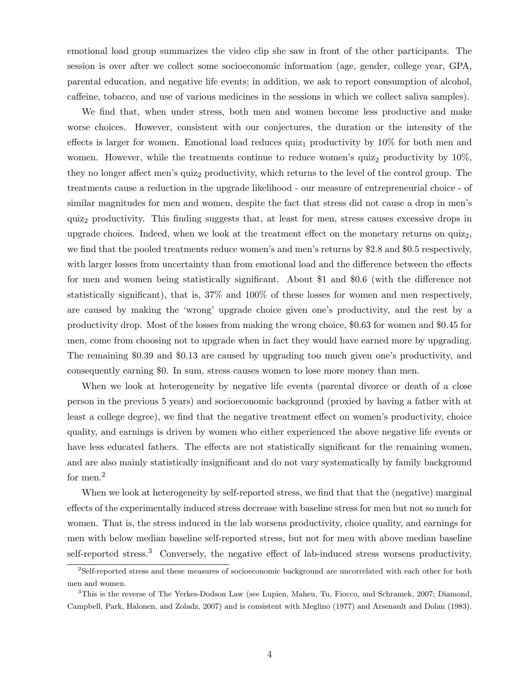emotional load group summarizes the video clip she saw in front of the other participants. The session is over after we collect some socioeconomic information (age, gender, college year, GPA, parental education, and negative life events; in addition, we ask to report consumption of alcohol, caffeine, tobacco, and use of various medicines in the sessions in which we collect saliva samples).

We find that, when under stress, both men and women become less productive and make worse choices. However, consistent with our conjectures, the duration or the intensity of the effects is larger for women. Emotional load reduces quiz<sub>1</sub> productivity by  $10\%$  for both men and women. However, while the treatments continue to reduce women's quiz<sub>2</sub> productivity by  $10\%$ , they no longer affect men's quiz<sub>2</sub> productivity, which returns to the level of the control group. The treatments cause a reduction in the upgrade likelihood - our measure of entrepreneurial choice - of similar magnitudes for men and women, despite the fact that stress did not cause a drop in men's quiz<sup>2</sup> productivity. This finding suggests that, at least for men, stress causes excessive drops in upgrade choices. Indeed, when we look at the treatment effect on the monetary returns on  $quiz<sub>2</sub>$ , we find that the pooled treatments reduce women's and men's returns by \$2.8 and \$0.5 respectively, with larger losses from uncertainty than from emotional load and the difference between the effects for men and women being statistically significant. About \$1 and \$0.6 (with the difference not statistically significant), that is, 37% and 100% of these losses for women and men respectively, are caused by making the 'wrong' upgrade choice given one's productivity, and the rest by a productivity drop. Most of the losses from making the wrong choice, \$0.63 for women and \$0.45 for men, come from choosing not to upgrade when in fact they would have earned more by upgrading. The remaining \$0.39 and \$0.13 are caused by upgrading too much given one's productivity, and consequently earning \$0. In sum, stress causes women to lose more money than men.

When we look at heterogeneity by negative life events (parental divorce or death of a close person in the previous 5 years) and socioeconomic background (proxied by having a father with at least a college degree), we find that the negative treatment effect on women's productivity, choice quality, and earnings is driven by women who either experienced the above negative life events or have less educated fathers. The effects are not statistically significant for the remaining women, and are also mainly statistically insignificant and do not vary systematically by family background for men.<sup>2</sup>

When we look at heterogeneity by self-reported stress, we find that that the (negative) marginal effects of the experimentally induced stress decrease with baseline stress for men but not so much for women. That is, the stress induced in the lab worsens productivity, choice quality, and earnings for men with below median baseline self-reported stress, but not for men with above median baseline self-reported stress.<sup>3</sup> Conversely, the negative effect of lab-induced stress worsens productivity,

<sup>2</sup>Self-reported stress and these measures of socioeconomic background are uncorrelated with each other for both men and women.

<sup>3</sup>This is the reverse of The Yerkes-Dodson Law (see Lupien, Maheu, Tu, Fiocco, and Schramek, 2007; Diamond, Campbell, Park, Halonen, and Zoladz, 2007) and is consistent with Meglino (1977) and Arsenault and Dolan (1983).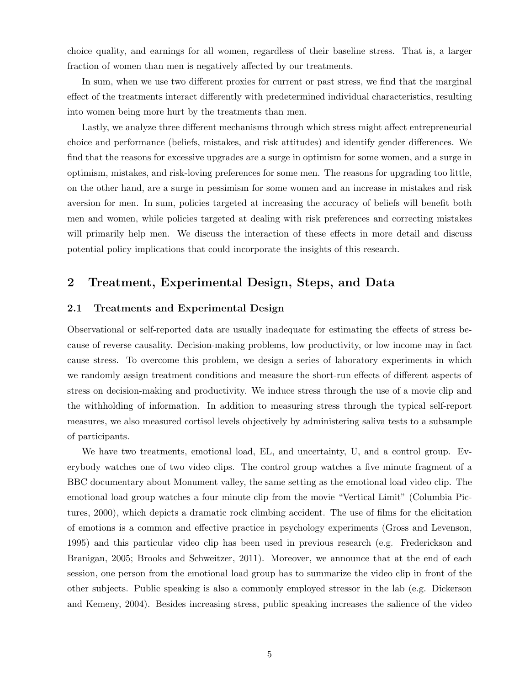choice quality, and earnings for all women, regardless of their baseline stress. That is, a larger fraction of women than men is negatively affected by our treatments.

In sum, when we use two different proxies for current or past stress, we find that the marginal effect of the treatments interact differently with predetermined individual characteristics, resulting into women being more hurt by the treatments than men.

Lastly, we analyze three different mechanisms through which stress might affect entrepreneurial choice and performance (beliefs, mistakes, and risk attitudes) and identify gender differences. We find that the reasons for excessive upgrades are a surge in optimism for some women, and a surge in optimism, mistakes, and risk-loving preferences for some men. The reasons for upgrading too little, on the other hand, are a surge in pessimism for some women and an increase in mistakes and risk aversion for men. In sum, policies targeted at increasing the accuracy of beliefs will benefit both men and women, while policies targeted at dealing with risk preferences and correcting mistakes will primarily help men. We discuss the interaction of these effects in more detail and discuss potential policy implications that could incorporate the insights of this research.

# 2 Treatment, Experimental Design, Steps, and Data

### 2.1 Treatments and Experimental Design

Observational or self-reported data are usually inadequate for estimating the effects of stress because of reverse causality. Decision-making problems, low productivity, or low income may in fact cause stress. To overcome this problem, we design a series of laboratory experiments in which we randomly assign treatment conditions and measure the short-run effects of different aspects of stress on decision-making and productivity. We induce stress through the use of a movie clip and the withholding of information. In addition to measuring stress through the typical self-report measures, we also measured cortisol levels objectively by administering saliva tests to a subsample of participants.

We have two treatments, emotional load, EL, and uncertainty, U, and a control group. Everybody watches one of two video clips. The control group watches a five minute fragment of a BBC documentary about Monument valley, the same setting as the emotional load video clip. The emotional load group watches a four minute clip from the movie "Vertical Limit" (Columbia Pictures, 2000), which depicts a dramatic rock climbing accident. The use of films for the elicitation of emotions is a common and effective practice in psychology experiments (Gross and Levenson, 1995) and this particular video clip has been used in previous research (e.g. Frederickson and Branigan, 2005; Brooks and Schweitzer, 2011). Moreover, we announce that at the end of each session, one person from the emotional load group has to summarize the video clip in front of the other subjects. Public speaking is also a commonly employed stressor in the lab (e.g. Dickerson and Kemeny, 2004). Besides increasing stress, public speaking increases the salience of the video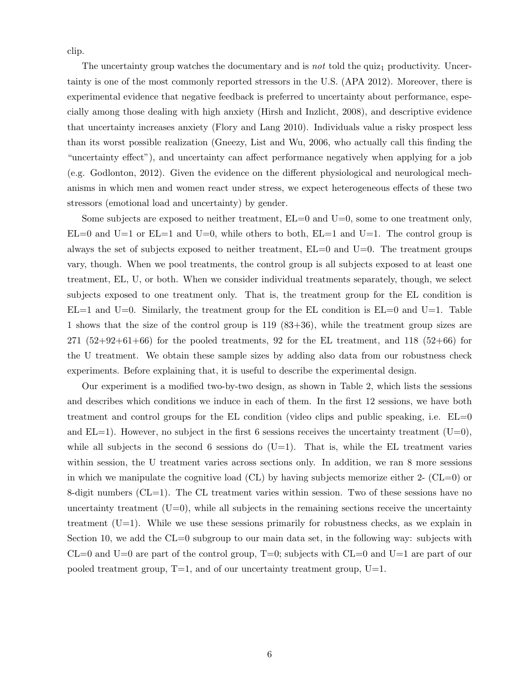clip.

The uncertainty group watches the documentary and is not told the quiz<sub>1</sub> productivity. Uncertainty is one of the most commonly reported stressors in the U.S. (APA 2012). Moreover, there is experimental evidence that negative feedback is preferred to uncertainty about performance, especially among those dealing with high anxiety (Hirsh and Inzlicht, 2008), and descriptive evidence that uncertainty increases anxiety (Flory and Lang 2010). Individuals value a risky prospect less than its worst possible realization (Gneezy, List and Wu, 2006, who actually call this finding the "uncertainty effect"), and uncertainty can affect performance negatively when applying for a job (e.g. Godlonton, 2012). Given the evidence on the different physiological and neurological mechanisms in which men and women react under stress, we expect heterogeneous effects of these two stressors (emotional load and uncertainty) by gender.

Some subjects are exposed to neither treatment,  $EL=0$  and  $U=0$ , some to one treatment only,  $EL=0$  and  $U=1$  or  $EL=1$  and  $U=0$ , while others to both,  $EL=1$  and  $U=1$ . The control group is always the set of subjects exposed to neither treatment,  $EL=0$  and  $U=0$ . The treatment groups vary, though. When we pool treatments, the control group is all subjects exposed to at least one treatment, EL, U, or both. When we consider individual treatments separately, though, we select subjects exposed to one treatment only. That is, the treatment group for the EL condition is  $EL=1$  and  $U=0$ . Similarly, the treatment group for the EL condition is  $EL=0$  and  $U=1$ . Table 1 shows that the size of the control group is 119 (83+36), while the treatment group sizes are  $271$   $(52+92+61+66)$  for the pooled treatments, 92 for the EL treatment, and 118  $(52+66)$  for the U treatment. We obtain these sample sizes by adding also data from our robustness check experiments. Before explaining that, it is useful to describe the experimental design.

Our experiment is a modified two-by-two design, as shown in Table 2, which lists the sessions and describes which conditions we induce in each of them. In the first 12 sessions, we have both treatment and control groups for the EL condition (video clips and public speaking, i.e.  $EL=0$ and  $EL=1$ ). However, no subject in the first 6 sessions receives the uncertainty treatment  $(U=0)$ , while all subjects in the second 6 sessions do  $(U=1)$ . That is, while the EL treatment varies within session, the U treatment varies across sections only. In addition, we ran 8 more sessions in which we manipulate the cognitive load  $(CL)$  by having subjects memorize either 2-  $(CL=0)$  or 8-digit numbers  $(CL=1)$ . The CL treatment varies within session. Two of these sessions have no uncertainty treatment  $(U=0)$ , while all subjects in the remaining sections receive the uncertainty treatment  $(U=1)$ . While we use these sessions primarily for robustness checks, as we explain in Section 10, we add the  $CL=0$  subgroup to our main data set, in the following way: subjects with  $CL=0$  and  $U=0$  are part of the control group,  $T=0$ ; subjects with  $CL=0$  and  $U=1$  are part of our pooled treatment group,  $T=1$ , and of our uncertainty treatment group,  $U=1$ .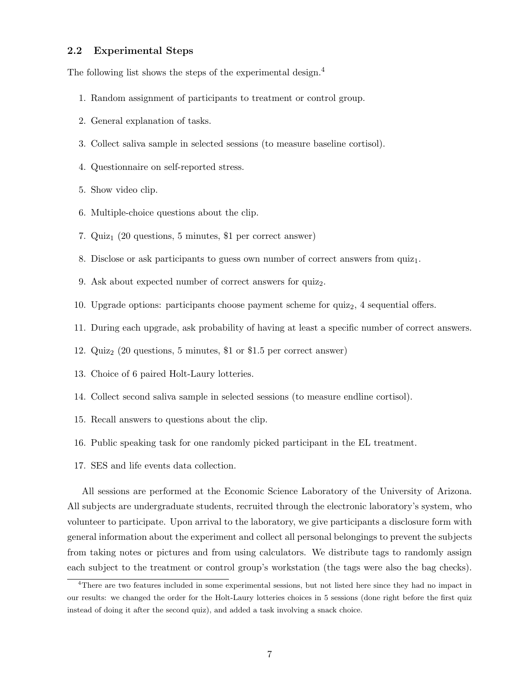### 2.2 Experimental Steps

The following list shows the steps of the experimental design.<sup>4</sup>

- 1. Random assignment of participants to treatment or control group.
- 2. General explanation of tasks.
- 3. Collect saliva sample in selected sessions (to measure baseline cortisol).
- 4. Questionnaire on self-reported stress.
- 5. Show video clip.
- 6. Multiple-choice questions about the clip.
- 7. Quiz<sub>1</sub> (20 questions, 5 minutes, \$1 per correct answer)
- 8. Disclose or ask participants to guess own number of correct answers from  $quiz<sub>1</sub>$ .
- 9. Ask about expected number of correct answers for quiz<sub>2</sub>.
- 10. Upgrade options: participants choose payment scheme for  $quiz_2$ , 4 sequential offers.
- 11. During each upgrade, ask probability of having at least a specific number of correct answers.
- 12.  $Quiz_2$  (20 questions, 5 minutes, \$1 or \$1.5 per correct answer)
- 13. Choice of 6 paired Holt-Laury lotteries.
- 14. Collect second saliva sample in selected sessions (to measure endline cortisol).
- 15. Recall answers to questions about the clip.
- 16. Public speaking task for one randomly picked participant in the EL treatment.
- 17. SES and life events data collection.

All sessions are performed at the Economic Science Laboratory of the University of Arizona. All subjects are undergraduate students, recruited through the electronic laboratory's system, who volunteer to participate. Upon arrival to the laboratory, we give participants a disclosure form with general information about the experiment and collect all personal belongings to prevent the subjects from taking notes or pictures and from using calculators. We distribute tags to randomly assign each subject to the treatment or control group's workstation (the tags were also the bag checks).

<sup>4</sup>There are two features included in some experimental sessions, but not listed here since they had no impact in our results: we changed the order for the Holt-Laury lotteries choices in 5 sessions (done right before the first quiz instead of doing it after the second quiz), and added a task involving a snack choice.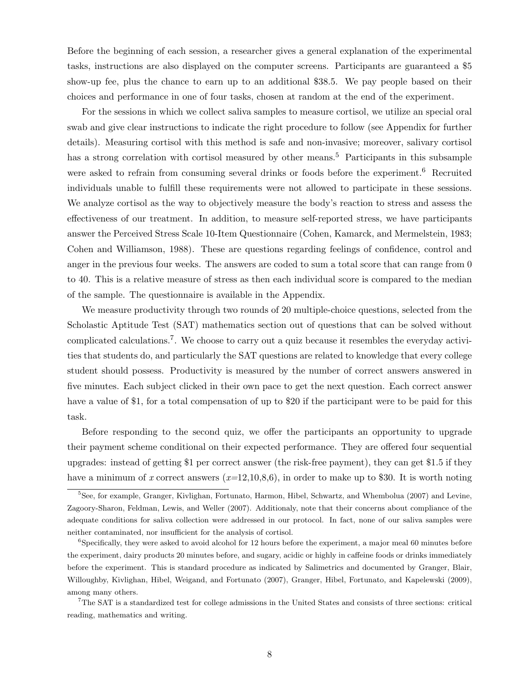Before the beginning of each session, a researcher gives a general explanation of the experimental tasks, instructions are also displayed on the computer screens. Participants are guaranteed a \$5 show-up fee, plus the chance to earn up to an additional \$38.5. We pay people based on their choices and performance in one of four tasks, chosen at random at the end of the experiment.

For the sessions in which we collect saliva samples to measure cortisol, we utilize an special oral swab and give clear instructions to indicate the right procedure to follow (see Appendix for further details). Measuring cortisol with this method is safe and non-invasive; moreover, salivary cortisol has a strong correlation with cortisol measured by other means.<sup>5</sup> Participants in this subsample were asked to refrain from consuming several drinks or foods before the experiment.<sup>6</sup> Recruited individuals unable to fulfill these requirements were not allowed to participate in these sessions. We analyze cortisol as the way to objectively measure the body's reaction to stress and assess the effectiveness of our treatment. In addition, to measure self-reported stress, we have participants answer the Perceived Stress Scale 10-Item Questionnaire (Cohen, Kamarck, and Mermelstein, 1983; Cohen and Williamson, 1988). These are questions regarding feelings of confidence, control and anger in the previous four weeks. The answers are coded to sum a total score that can range from 0 to 40. This is a relative measure of stress as then each individual score is compared to the median of the sample. The questionnaire is available in the Appendix.

We measure productivity through two rounds of 20 multiple-choice questions, selected from the Scholastic Aptitude Test (SAT) mathematics section out of questions that can be solved without complicated calculations.<sup>7</sup>. We choose to carry out a quiz because it resembles the everyday activities that students do, and particularly the SAT questions are related to knowledge that every college student should possess. Productivity is measured by the number of correct answers answered in five minutes. Each subject clicked in their own pace to get the next question. Each correct answer have a value of \$1, for a total compensation of up to \$20 if the participant were to be paid for this task.

Before responding to the second quiz, we offer the participants an opportunity to upgrade their payment scheme conditional on their expected performance. They are offered four sequential upgrades: instead of getting \$1 per correct answer (the risk-free payment), they can get \$1.5 if they have a minimum of x correct answers  $(x=12,10,8,6)$ , in order to make up to \$30. It is worth noting

<sup>&</sup>lt;sup>5</sup>See, for example, Granger, Kivlighan, Fortunato, Harmon, Hibel, Schwartz, and Whembolua (2007) and Levine, Zagoory-Sharon, Feldman, Lewis, and Weller (2007). Additionaly, note that their concerns about compliance of the adequate conditions for saliva collection were addressed in our protocol. In fact, none of our saliva samples were neither contaminated, nor insufficient for the analysis of cortisol.

<sup>6</sup>Specifically, they were asked to avoid alcohol for 12 hours before the experiment, a major meal 60 minutes before the experiment, dairy products 20 minutes before, and sugary, acidic or highly in caffeine foods or drinks immediately before the experiment. This is standard procedure as indicated by Salimetrics and documented by Granger, Blair, Willoughby, Kivlighan, Hibel, Weigand, and Fortunato (2007), Granger, Hibel, Fortunato, and Kapelewski (2009), among many others.

<sup>7</sup>The SAT is a standardized test for college admissions in the United States and consists of three sections: critical reading, mathematics and writing.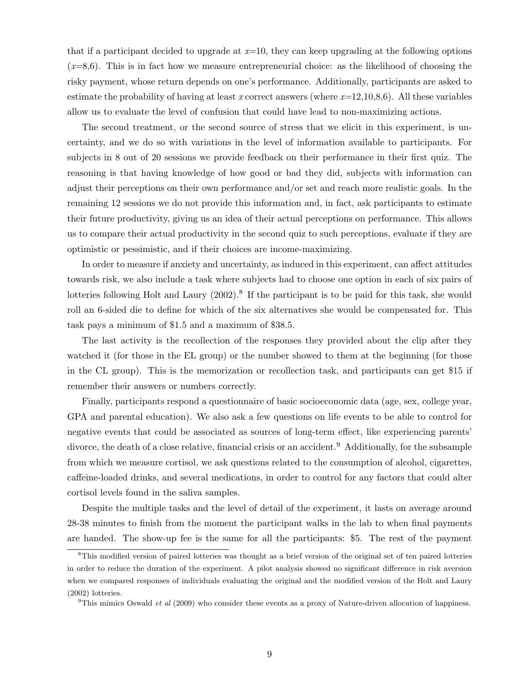that if a participant decided to upgrade at  $x=10$ , they can keep upgrading at the following options  $(x=8,6)$ . This is in fact how we measure entrepreneurial choice: as the likelihood of choosing the risky payment, whose return depends on one's performance. Additionally, participants are asked to estimate the probability of having at least x correct answers (where  $x=12,10,8,6$ ). All these variables allow us to evaluate the level of confusion that could have lead to non-maximizing actions.

The second treatment, or the second source of stress that we elicit in this experiment, is uncertainty, and we do so with variations in the level of information available to participants. For subjects in 8 out of 20 sessions we provide feedback on their performance in their first quiz. The reasoning is that having knowledge of how good or bad they did, subjects with information can adjust their perceptions on their own performance and/or set and reach more realistic goals. In the remaining 12 sessions we do not provide this information and, in fact, ask participants to estimate their future productivity, giving us an idea of their actual perceptions on performance. This allows us to compare their actual productivity in the second quiz to such perceptions, evaluate if they are optimistic or pessimistic, and if their choices are income-maximizing.

In order to measure if anxiety and uncertainty, as induced in this experiment, can affect attitudes towards risk, we also include a task where subjects had to choose one option in each of six pairs of lotteries following Holt and Laury (2002).<sup>8</sup> If the participant is to be paid for this task, she would roll an 6-sided die to define for which of the six alternatives she would be compensated for. This task pays a minimum of \$1.5 and a maximum of \$38.5.

The last activity is the recollection of the responses they provided about the clip after they watched it (for those in the EL group) or the number showed to them at the beginning (for those in the CL group). This is the memorization or recollection task, and participants can get \$15 if remember their answers or numbers correctly.

Finally, participants respond a questionnaire of basic socioeconomic data (age, sex, college year, GPA and parental education). We also ask a few questions on life events to be able to control for negative events that could be associated as sources of long-term effect, like experiencing parents' divorce, the death of a close relative, financial crisis or an accident.<sup>9</sup> Additionally, for the subsample from which we measure cortisol, we ask questions related to the consumption of alcohol, cigarettes, caffeine-loaded drinks, and several medications, in order to control for any factors that could alter cortisol levels found in the saliva samples.

Despite the multiple tasks and the level of detail of the experiment, it lasts on average around 28-38 minutes to finish from the moment the participant walks in the lab to when final payments are handed. The show-up fee is the same for all the participants: \$5. The rest of the payment

<sup>8</sup>This modified version of paired lotteries was thought as a brief version of the original set of ten paired lotteries in order to reduce the duration of the experiment. A pilot analysis showed no significant difference in risk aversion when we compared responses of individuals evaluating the original and the modified version of the Holt and Laury (2002) lotteries.

<sup>&</sup>lt;sup>9</sup>This mimics Oswald *et al* (2009) who consider these events as a proxy of Nature-driven allocation of happiness.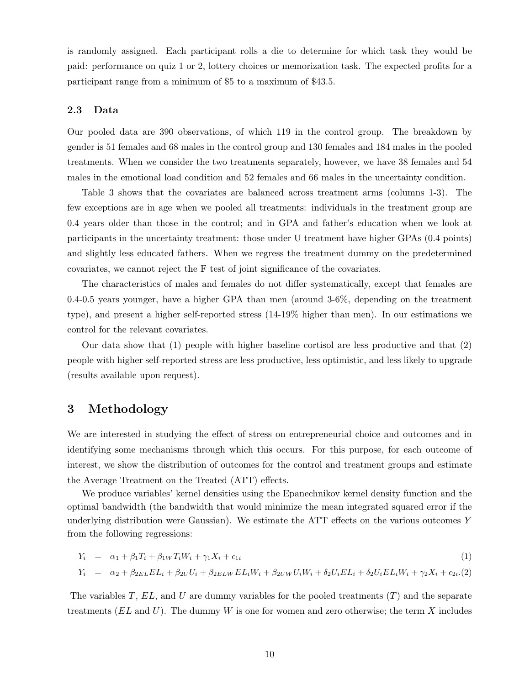is randomly assigned. Each participant rolls a die to determine for which task they would be paid: performance on quiz 1 or 2, lottery choices or memorization task. The expected profits for a participant range from a minimum of \$5 to a maximum of \$43.5.

### 2.3 Data

Our pooled data are 390 observations, of which 119 in the control group. The breakdown by gender is 51 females and 68 males in the control group and 130 females and 184 males in the pooled treatments. When we consider the two treatments separately, however, we have 38 females and 54 males in the emotional load condition and 52 females and 66 males in the uncertainty condition.

Table 3 shows that the covariates are balanced across treatment arms (columns 1-3). The few exceptions are in age when we pooled all treatments: individuals in the treatment group are 0.4 years older than those in the control; and in GPA and father's education when we look at participants in the uncertainty treatment: those under U treatment have higher GPAs (0.4 points) and slightly less educated fathers. When we regress the treatment dummy on the predetermined covariates, we cannot reject the F test of joint significance of the covariates.

The characteristics of males and females do not differ systematically, except that females are 0.4-0.5 years younger, have a higher GPA than men (around 3-6%, depending on the treatment type), and present a higher self-reported stress (14-19% higher than men). In our estimations we control for the relevant covariates.

Our data show that (1) people with higher baseline cortisol are less productive and that (2) people with higher self-reported stress are less productive, less optimistic, and less likely to upgrade (results available upon request).

# 3 Methodology

We are interested in studying the effect of stress on entrepreneurial choice and outcomes and in identifying some mechanisms through which this occurs. For this purpose, for each outcome of interest, we show the distribution of outcomes for the control and treatment groups and estimate the Average Treatment on the Treated (ATT) effects.

We produce variables' kernel densities using the Epanechnikov kernel density function and the optimal bandwidth (the bandwidth that would minimize the mean integrated squared error if the underlying distribution were Gaussian). We estimate the ATT effects on the various outcomes Y from the following regressions:

$$
Y_i = \alpha_1 + \beta_1 T_i + \beta_1 W T_i W_i + \gamma_1 X_i + \epsilon_{1i} \tag{1}
$$

$$
Y_i = \alpha_2 + \beta_{2EL} EL_i + \beta_{2U} U_i + \beta_{2ELW} EL_i W_i + \beta_{2UW} U_i W_i + \delta_2 U_i EL_i + \delta_2 U_i EL_i W_i + \gamma_2 X_i + \epsilon_{2i} . (2)
$$

The variables T,  $EL$ , and U are dummy variables for the pooled treatments  $(T)$  and the separate treatments  $(EL \text{ and } U)$ . The dummy W is one for women and zero otherwise; the term X includes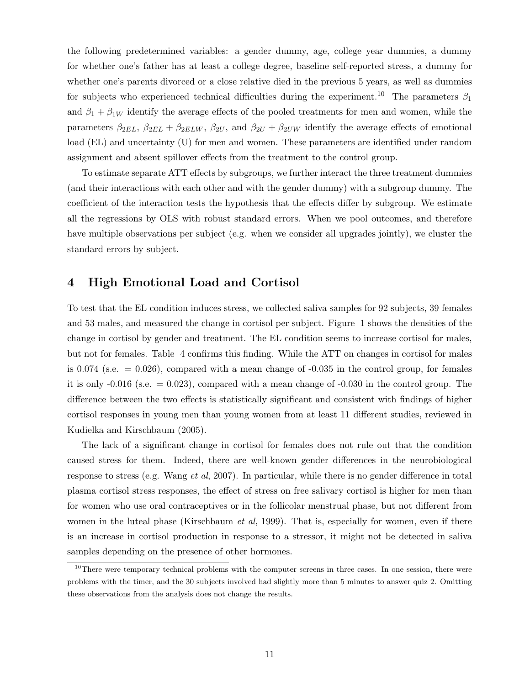the following predetermined variables: a gender dummy, age, college year dummies, a dummy for whether one's father has at least a college degree, baseline self-reported stress, a dummy for whether one's parents divorced or a close relative died in the previous 5 years, as well as dummies for subjects who experienced technical difficulties during the experiment.<sup>10</sup> The parameters  $\beta_1$ and  $\beta_1 + \beta_{1W}$  identify the average effects of the pooled treatments for men and women, while the parameters  $\beta_{2EL}$ ,  $\beta_{2EL}$  +  $\beta_{2ELW}$ ,  $\beta_{2U}$ , and  $\beta_{2U}$  +  $\beta_{2UW}$  identify the average effects of emotional load (EL) and uncertainty (U) for men and women. These parameters are identified under random assignment and absent spillover effects from the treatment to the control group.

To estimate separate ATT effects by subgroups, we further interact the three treatment dummies (and their interactions with each other and with the gender dummy) with a subgroup dummy. The coefficient of the interaction tests the hypothesis that the effects differ by subgroup. We estimate all the regressions by OLS with robust standard errors. When we pool outcomes, and therefore have multiple observations per subject (e.g. when we consider all upgrades jointly), we cluster the standard errors by subject.

# 4 High Emotional Load and Cortisol

To test that the EL condition induces stress, we collected saliva samples for 92 subjects, 39 females and 53 males, and measured the change in cortisol per subject. Figure 1 shows the densities of the change in cortisol by gender and treatment. The EL condition seems to increase cortisol for males, but not for females. Table 4 confirms this finding. While the ATT on changes in cortisol for males is 0.074 (s.e.  $= 0.026$ ), compared with a mean change of  $-0.035$  in the control group, for females it is only  $-0.016$  (s.e.  $= 0.023$ ), compared with a mean change of  $-0.030$  in the control group. The difference between the two effects is statistically significant and consistent with findings of higher cortisol responses in young men than young women from at least 11 different studies, reviewed in Kudielka and Kirschbaum (2005).

The lack of a significant change in cortisol for females does not rule out that the condition caused stress for them. Indeed, there are well-known gender differences in the neurobiological response to stress (e.g. Wang et al, 2007). In particular, while there is no gender difference in total plasma cortisol stress responses, the effect of stress on free salivary cortisol is higher for men than for women who use oral contraceptives or in the follicolar menstrual phase, but not different from women in the luteal phase (Kirschbaum *et al*, 1999). That is, especially for women, even if there is an increase in cortisol production in response to a stressor, it might not be detected in saliva samples depending on the presence of other hormones.

<sup>&</sup>lt;sup>10</sup>There were temporary technical problems with the computer screens in three cases. In one session, there were problems with the timer, and the 30 subjects involved had slightly more than 5 minutes to answer quiz 2. Omitting these observations from the analysis does not change the results.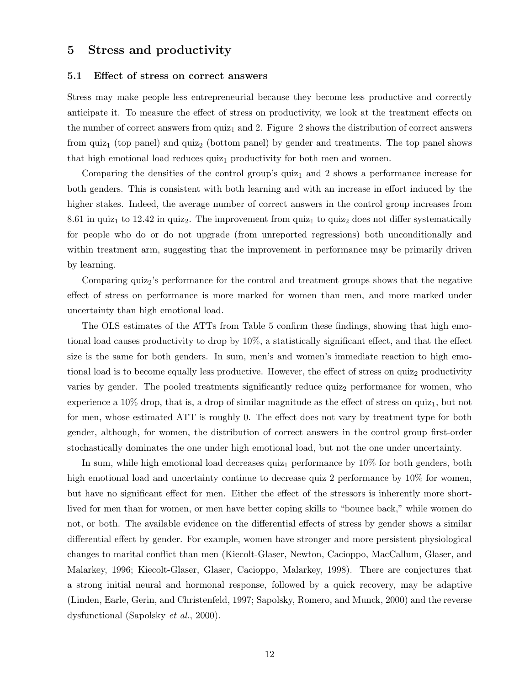## 5 Stress and productivity

### 5.1 Effect of stress on correct answers

Stress may make people less entrepreneurial because they become less productive and correctly anticipate it. To measure the effect of stress on productivity, we look at the treatment effects on the number of correct answers from  $\text{quiz}_1$  and 2. Figure 2 shows the distribution of correct answers from quiz<sub>1</sub> (top panel) and quiz<sub>2</sub> (bottom panel) by gender and treatments. The top panel shows that high emotional load reduces  $quiz_1$  productivity for both men and women.

Comparing the densities of the control group's quiz<sub>1</sub> and 2 shows a performance increase for both genders. This is consistent with both learning and with an increase in effort induced by the higher stakes. Indeed, the average number of correct answers in the control group increases from 8.61 in quiz<sub>1</sub> to 12.42 in quiz<sub>2</sub>. The improvement from quiz<sub>1</sub> to quiz<sub>2</sub> does not differ systematically for people who do or do not upgrade (from unreported regressions) both unconditionally and within treatment arm, suggesting that the improvement in performance may be primarily driven by learning.

Comparing quiz<sub>2</sub>'s performance for the control and treatment groups shows that the negative effect of stress on performance is more marked for women than men, and more marked under uncertainty than high emotional load.

The OLS estimates of the ATTs from Table 5 confirm these findings, showing that high emotional load causes productivity to drop by 10%, a statistically significant effect, and that the effect size is the same for both genders. In sum, men's and women's immediate reaction to high emotional load is to become equally less productive. However, the effect of stress on quiz<sub>2</sub> productivity varies by gender. The pooled treatments significantly reduce quiz<sub>2</sub> performance for women, who experience a  $10\%$  drop, that is, a drop of similar magnitude as the effect of stress on quiz<sub>1</sub>, but not for men, whose estimated ATT is roughly 0. The effect does not vary by treatment type for both gender, although, for women, the distribution of correct answers in the control group first-order stochastically dominates the one under high emotional load, but not the one under uncertainty.

In sum, while high emotional load decreases quiz<sub>1</sub> performance by  $10\%$  for both genders, both high emotional load and uncertainty continue to decrease quiz 2 performance by 10% for women, but have no significant effect for men. Either the effect of the stressors is inherently more shortlived for men than for women, or men have better coping skills to "bounce back," while women do not, or both. The available evidence on the differential effects of stress by gender shows a similar differential effect by gender. For example, women have stronger and more persistent physiological changes to marital conflict than men (Kiecolt-Glaser, Newton, Cacioppo, MacCallum, Glaser, and Malarkey, 1996; Kiecolt-Glaser, Glaser, Cacioppo, Malarkey, 1998). There are conjectures that a strong initial neural and hormonal response, followed by a quick recovery, may be adaptive (Linden, Earle, Gerin, and Christenfeld, 1997; Sapolsky, Romero, and Munck, 2000) and the reverse dysfunctional (Sapolsky et al., 2000).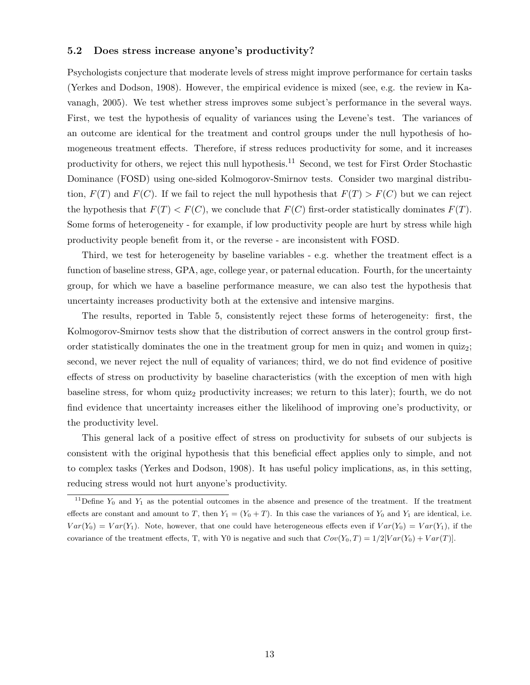### 5.2 Does stress increase anyone's productivity?

Psychologists conjecture that moderate levels of stress might improve performance for certain tasks (Yerkes and Dodson, 1908). However, the empirical evidence is mixed (see, e.g. the review in Kavanagh, 2005). We test whether stress improves some subject's performance in the several ways. First, we test the hypothesis of equality of variances using the Levene's test. The variances of an outcome are identical for the treatment and control groups under the null hypothesis of homogeneous treatment effects. Therefore, if stress reduces productivity for some, and it increases productivity for others, we reject this null hypothesis.<sup>11</sup> Second, we test for First Order Stochastic Dominance (FOSD) using one-sided Kolmogorov-Smirnov tests. Consider two marginal distribution,  $F(T)$  and  $F(C)$ . If we fail to reject the null hypothesis that  $F(T) > F(C)$  but we can reject the hypothesis that  $F(T) < F(C)$ , we conclude that  $F(C)$  first-order statistically dominates  $F(T)$ . Some forms of heterogeneity - for example, if low productivity people are hurt by stress while high productivity people benefit from it, or the reverse - are inconsistent with FOSD.

Third, we test for heterogeneity by baseline variables - e.g. whether the treatment effect is a function of baseline stress, GPA, age, college year, or paternal education. Fourth, for the uncertainty group, for which we have a baseline performance measure, we can also test the hypothesis that uncertainty increases productivity both at the extensive and intensive margins.

The results, reported in Table 5, consistently reject these forms of heterogeneity: first, the Kolmogorov-Smirnov tests show that the distribution of correct answers in the control group firstorder statistically dominates the one in the treatment group for men in quiz<sub>1</sub> and women in quiz<sub>2</sub>; second, we never reject the null of equality of variances; third, we do not find evidence of positive effects of stress on productivity by baseline characteristics (with the exception of men with high baseline stress, for whom quiz<sub>2</sub> productivity increases; we return to this later); fourth, we do not find evidence that uncertainty increases either the likelihood of improving one's productivity, or the productivity level.

This general lack of a positive effect of stress on productivity for subsets of our subjects is consistent with the original hypothesis that this beneficial effect applies only to simple, and not to complex tasks (Yerkes and Dodson, 1908). It has useful policy implications, as, in this setting, reducing stress would not hurt anyone's productivity.

<sup>&</sup>lt;sup>11</sup>Define  $Y_0$  and  $Y_1$  as the potential outcomes in the absence and presence of the treatment. If the treatment effects are constant and amount to T, then  $Y_1 = (Y_0 + T)$ . In this case the variances of  $Y_0$  and  $Y_1$  are identical, i.e.  $Var(Y_0) = Var(Y_1)$ . Note, however, that one could have heterogeneous effects even if  $Var(Y_0) = Var(Y_1)$ , if the covariance of the treatment effects, T, with Y0 is negative and such that  $Cov(Y_0, T) = 1/2[Var(Y_0) + Var(T)]$ .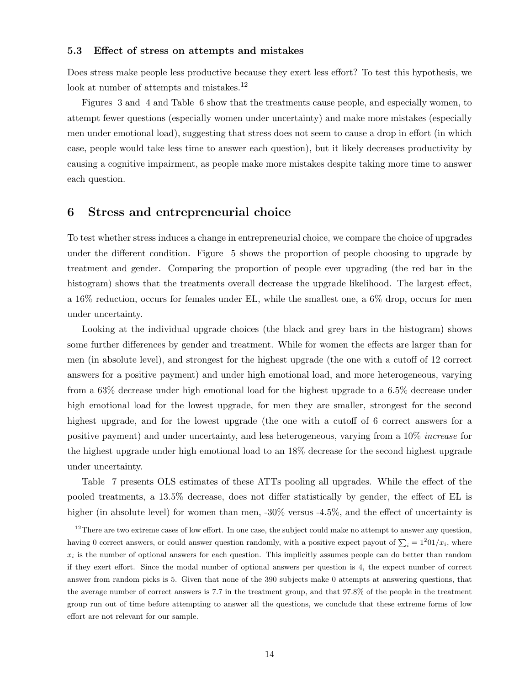### 5.3 Effect of stress on attempts and mistakes

Does stress make people less productive because they exert less effort? To test this hypothesis, we look at number of attempts and mistakes.<sup>12</sup>

Figures 3 and 4 and Table 6 show that the treatments cause people, and especially women, to attempt fewer questions (especially women under uncertainty) and make more mistakes (especially men under emotional load), suggesting that stress does not seem to cause a drop in effort (in which case, people would take less time to answer each question), but it likely decreases productivity by causing a cognitive impairment, as people make more mistakes despite taking more time to answer each question.

## 6 Stress and entrepreneurial choice

To test whether stress induces a change in entrepreneurial choice, we compare the choice of upgrades under the different condition. Figure 5 shows the proportion of people choosing to upgrade by treatment and gender. Comparing the proportion of people ever upgrading (the red bar in the histogram) shows that the treatments overall decrease the upgrade likelihood. The largest effect, a 16% reduction, occurs for females under EL, while the smallest one, a 6% drop, occurs for men under uncertainty.

Looking at the individual upgrade choices (the black and grey bars in the histogram) shows some further differences by gender and treatment. While for women the effects are larger than for men (in absolute level), and strongest for the highest upgrade (the one with a cutoff of 12 correct answers for a positive payment) and under high emotional load, and more heterogeneous, varying from a 63% decrease under high emotional load for the highest upgrade to a 6.5% decrease under high emotional load for the lowest upgrade, for men they are smaller, strongest for the second highest upgrade, and for the lowest upgrade (the one with a cutoff of 6 correct answers for a positive payment) and under uncertainty, and less heterogeneous, varying from a 10% increase for the highest upgrade under high emotional load to an 18% decrease for the second highest upgrade under uncertainty.

Table 7 presents OLS estimates of these ATTs pooling all upgrades. While the effect of the pooled treatments, a 13.5% decrease, does not differ statistically by gender, the effect of EL is higher (in absolute level) for women than men, -30% versus -4.5%, and the effect of uncertainty is

 $12$ There are two extreme cases of low effort. In one case, the subject could make no attempt to answer any question, having 0 correct answers, or could answer question randomly, with a positive expect payout of  $\sum_i = 1^201/x_i$ , where  $x_i$  is the number of optional answers for each question. This implicitly assumes people can do better than random if they exert effort. Since the modal number of optional answers per question is 4, the expect number of correct answer from random picks is 5. Given that none of the 390 subjects make 0 attempts at answering questions, that the average number of correct answers is 7.7 in the treatment group, and that 97.8% of the people in the treatment group run out of time before attempting to answer all the questions, we conclude that these extreme forms of low effort are not relevant for our sample.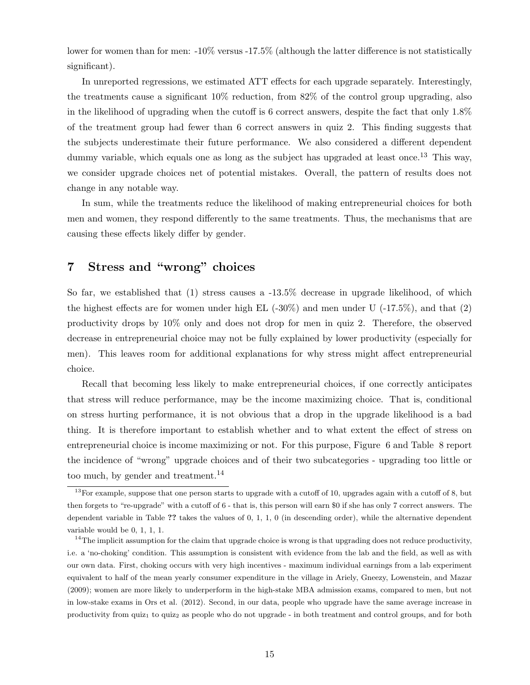lower for women than for men: -10% versus -17.5% (although the latter difference is not statistically significant).

In unreported regressions, we estimated ATT effects for each upgrade separately. Interestingly, the treatments cause a significant 10% reduction, from 82% of the control group upgrading, also in the likelihood of upgrading when the cutoff is 6 correct answers, despite the fact that only 1.8% of the treatment group had fewer than 6 correct answers in quiz 2. This finding suggests that the subjects underestimate their future performance. We also considered a different dependent dummy variable, which equals one as long as the subject has upgraded at least once.<sup>13</sup> This way, we consider upgrade choices net of potential mistakes. Overall, the pattern of results does not change in any notable way.

In sum, while the treatments reduce the likelihood of making entrepreneurial choices for both men and women, they respond differently to the same treatments. Thus, the mechanisms that are causing these effects likely differ by gender.

# 7 Stress and "wrong" choices

So far, we established that (1) stress causes a -13.5% decrease in upgrade likelihood, of which the highest effects are for women under high EL  $(-30\%)$  and men under U  $(-17.5\%)$ , and that  $(2)$ productivity drops by 10% only and does not drop for men in quiz 2. Therefore, the observed decrease in entrepreneurial choice may not be fully explained by lower productivity (especially for men). This leaves room for additional explanations for why stress might affect entrepreneurial choice.

Recall that becoming less likely to make entrepreneurial choices, if one correctly anticipates that stress will reduce performance, may be the income maximizing choice. That is, conditional on stress hurting performance, it is not obvious that a drop in the upgrade likelihood is a bad thing. It is therefore important to establish whether and to what extent the effect of stress on entrepreneurial choice is income maximizing or not. For this purpose, Figure 6 and Table 8 report the incidence of "wrong" upgrade choices and of their two subcategories - upgrading too little or too much, by gender and treatment.<sup>14</sup>

<sup>&</sup>lt;sup>13</sup>For example, suppose that one person starts to upgrade with a cutoff of 10, upgrades again with a cutoff of 8, but then forgets to "re-upgrade" with a cutoff of 6 - that is, this person will earn \$0 if she has only 7 correct answers. The dependent variable in Table ?? takes the values of 0, 1, 1, 0 (in descending order), while the alternative dependent variable would be 0, 1, 1, 1.

 $14$ The implicit assumption for the claim that upgrade choice is wrong is that upgrading does not reduce productivity, i.e. a 'no-choking' condition. This assumption is consistent with evidence from the lab and the field, as well as with our own data. First, choking occurs with very high incentives - maximum individual earnings from a lab experiment equivalent to half of the mean yearly consumer expenditure in the village in Ariely, Gneezy, Lowenstein, and Mazar (2009); women are more likely to underperform in the high-stake MBA admission exams, compared to men, but not in low-stake exams in Ors et al. (2012). Second, in our data, people who upgrade have the same average increase in productivity from quiz<sub>1</sub> to quiz<sub>2</sub> as people who do not upgrade - in both treatment and control groups, and for both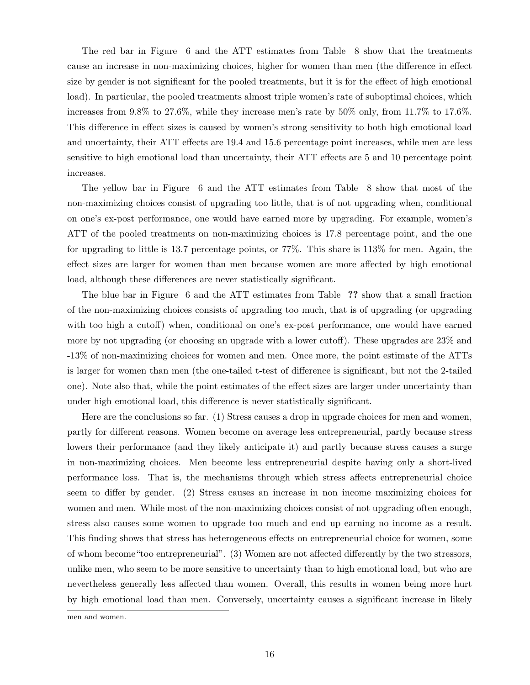The red bar in Figure 6 and the ATT estimates from Table 8 show that the treatments cause an increase in non-maximizing choices, higher for women than men (the difference in effect size by gender is not significant for the pooled treatments, but it is for the effect of high emotional load). In particular, the pooled treatments almost triple women's rate of suboptimal choices, which increases from 9.8% to 27.6%, while they increase men's rate by 50% only, from 11.7% to 17.6%. This difference in effect sizes is caused by women's strong sensitivity to both high emotional load and uncertainty, their ATT effects are 19.4 and 15.6 percentage point increases, while men are less sensitive to high emotional load than uncertainty, their ATT effects are 5 and 10 percentage point increases.

The yellow bar in Figure 6 and the ATT estimates from Table 8 show that most of the non-maximizing choices consist of upgrading too little, that is of not upgrading when, conditional on one's ex-post performance, one would have earned more by upgrading. For example, women's ATT of the pooled treatments on non-maximizing choices is 17.8 percentage point, and the one for upgrading to little is 13.7 percentage points, or 77%. This share is 113% for men. Again, the effect sizes are larger for women than men because women are more affected by high emotional load, although these differences are never statistically significant.

The blue bar in Figure 6 and the ATT estimates from Table ?? show that a small fraction of the non-maximizing choices consists of upgrading too much, that is of upgrading (or upgrading with too high a cutoff) when, conditional on one's ex-post performance, one would have earned more by not upgrading (or choosing an upgrade with a lower cutoff). These upgrades are 23% and -13% of non-maximizing choices for women and men. Once more, the point estimate of the ATTs is larger for women than men (the one-tailed t-test of difference is significant, but not the 2-tailed one). Note also that, while the point estimates of the effect sizes are larger under uncertainty than under high emotional load, this difference is never statistically significant.

Here are the conclusions so far. (1) Stress causes a drop in upgrade choices for men and women, partly for different reasons. Women become on average less entrepreneurial, partly because stress lowers their performance (and they likely anticipate it) and partly because stress causes a surge in non-maximizing choices. Men become less entrepreneurial despite having only a short-lived performance loss. That is, the mechanisms through which stress affects entrepreneurial choice seem to differ by gender. (2) Stress causes an increase in non income maximizing choices for women and men. While most of the non-maximizing choices consist of not upgrading often enough, stress also causes some women to upgrade too much and end up earning no income as a result. This finding shows that stress has heterogeneous effects on entrepreneurial choice for women, some of whom become"too entrepreneurial". (3) Women are not affected differently by the two stressors, unlike men, who seem to be more sensitive to uncertainty than to high emotional load, but who are nevertheless generally less affected than women. Overall, this results in women being more hurt by high emotional load than men. Conversely, uncertainty causes a significant increase in likely

men and women.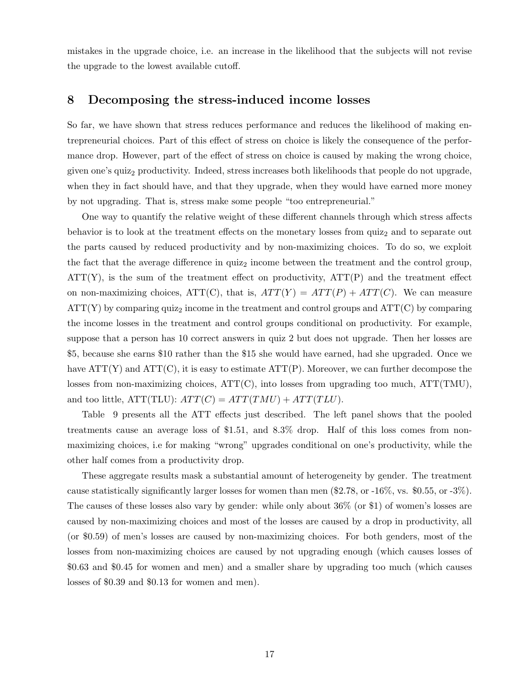mistakes in the upgrade choice, i.e. an increase in the likelihood that the subjects will not revise the upgrade to the lowest available cutoff.

## 8 Decomposing the stress-induced income losses

So far, we have shown that stress reduces performance and reduces the likelihood of making entrepreneurial choices. Part of this effect of stress on choice is likely the consequence of the performance drop. However, part of the effect of stress on choice is caused by making the wrong choice, given one's quiz<sub>2</sub> productivity. Indeed, stress increases both likelihoods that people do not upgrade, when they in fact should have, and that they upgrade, when they would have earned more money by not upgrading. That is, stress make some people "too entrepreneurial."

One way to quantify the relative weight of these different channels through which stress affects behavior is to look at the treatment effects on the monetary losses from  $\text{quiz}_2$  and to separate out the parts caused by reduced productivity and by non-maximizing choices. To do so, we exploit the fact that the average difference in  $quiz<sub>2</sub>$  income between the treatment and the control group,  $ATT(Y)$ , is the sum of the treatment effect on productivity,  $ATT(P)$  and the treatment effect on non-maximizing choices,  $ATT(C)$ , that is,  $ATT(Y) = ATT(P) + ATT(C)$ . We can measure  $ATT(Y)$  by comparing quiz<sub>2</sub> income in the treatment and control groups and  $ATT(C)$  by comparing the income losses in the treatment and control groups conditional on productivity. For example, suppose that a person has 10 correct answers in quiz 2 but does not upgrade. Then her losses are \$5, because she earns \$10 rather than the \$15 she would have earned, had she upgraded. Once we have  $ATT(Y)$  and  $ATT(C)$ , it is easy to estimate  $ATT(P)$ . Moreover, we can further decompose the losses from non-maximizing choices,  $ATT(C)$ , into losses from upgrading too much,  $ATT(TMU)$ , and too little,  $ATT(TLU)$ :  $ATT(C) = ATT(TMU) + ATT(TLU)$ .

Table 9 presents all the ATT effects just described. The left panel shows that the pooled treatments cause an average loss of \$1.51, and 8.3% drop. Half of this loss comes from nonmaximizing choices, i.e for making "wrong" upgrades conditional on one's productivity, while the other half comes from a productivity drop.

These aggregate results mask a substantial amount of heterogeneity by gender. The treatment cause statistically significantly larger losses for women than men (\$2.78, or -16%, vs. \$0.55, or -3%). The causes of these losses also vary by gender: while only about 36% (or \$1) of women's losses are caused by non-maximizing choices and most of the losses are caused by a drop in productivity, all (or \$0.59) of men's losses are caused by non-maximizing choices. For both genders, most of the losses from non-maximizing choices are caused by not upgrading enough (which causes losses of \$0.63 and \$0.45 for women and men) and a smaller share by upgrading too much (which causes losses of \$0.39 and \$0.13 for women and men).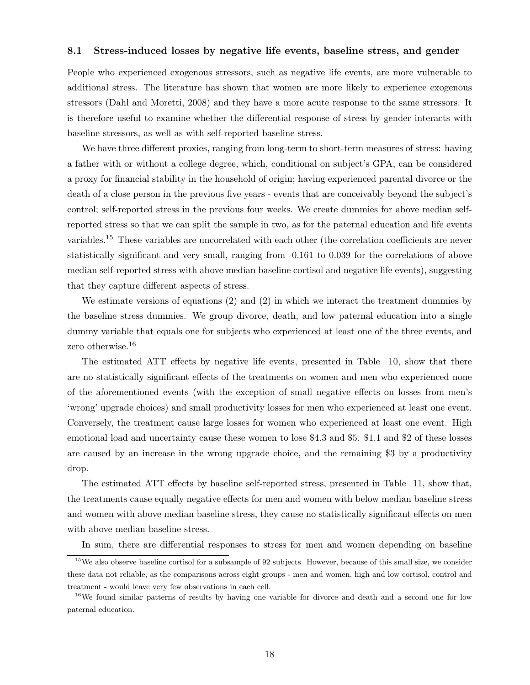### 8.1 Stress-induced losses by negative life events, baseline stress, and gender

People who experienced exogenous stressors, such as negative life events, are more vulnerable to additional stress. The literature has shown that women are more likely to experience exogenous stressors (Dahl and Moretti, 2008) and they have a more acute response to the same stressors. It is therefore useful to examine whether the differential response of stress by gender interacts with baseline stressors, as well as with self-reported baseline stress.

We have three different proxies, ranging from long-term to short-term measures of stress: having a father with or without a college degree, which, conditional on subject's GPA, can be considered a proxy for financial stability in the household of origin; having experienced parental divorce or the death of a close person in the previous five years - events that are conceivably beyond the subject's control; self-reported stress in the previous four weeks. We create dummies for above median selfreported stress so that we can split the sample in two, as for the paternal education and life events variables.<sup>15</sup> These variables are uncorrelated with each other (the correlation coefficients are never statistically significant and very small, ranging from -0.161 to 0.039 for the correlations of above median self-reported stress with above median baseline cortisol and negative life events), suggesting that they capture different aspects of stress.

We estimate versions of equations (2) and (2) in which we interact the treatment dummies by the baseline stress dummies. We group divorce, death, and low paternal education into a single dummy variable that equals one for subjects who experienced at least one of the three events, and zero otherwise.<sup>16</sup>

The estimated ATT effects by negative life events, presented in Table 10, show that there are no statistically significant effects of the treatments on women and men who experienced none of the aforementioned events (with the exception of small negative effects on losses from men's 'wrong' upgrade choices) and small productivity losses for men who experienced at least one event. Conversely, the treatment cause large losses for women who experienced at least one event. High emotional load and uncertainty cause these women to lose \$4.3 and \$5. \$1.1 and \$2 of these losses are caused by an increase in the wrong upgrade choice, and the remaining \$3 by a productivity drop.

The estimated ATT effects by baseline self-reported stress, presented in Table 11, show that, the treatments cause equally negative effects for men and women with below median baseline stress and women with above median baseline stress, they cause no statistically significant effects on men with above median baseline stress.

In sum, there are differential responses to stress for men and women depending on baseline

<sup>&</sup>lt;sup>15</sup>We also observe baseline cortisol for a subsample of 92 subjects. However, because of this small size, we consider these data not reliable, as the comparisons across eight groups - men and women, high and low cortisol, control and treatment - would leave very few observations in each cell.

<sup>&</sup>lt;sup>16</sup>We found similar patterns of results by having one variable for divorce and death and a second one for low paternal education.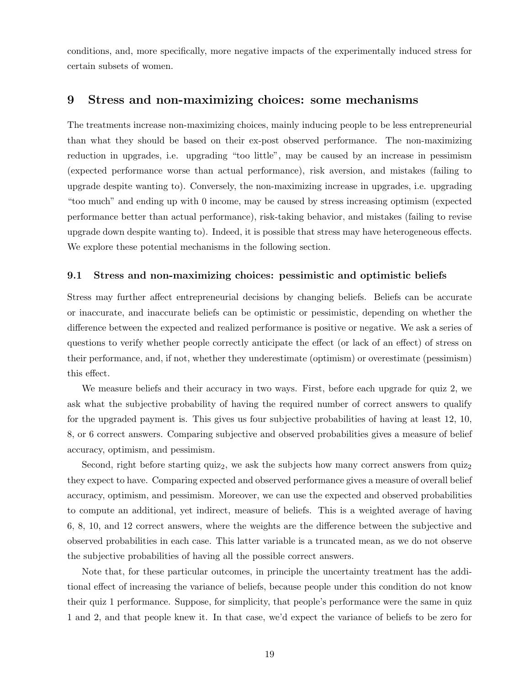conditions, and, more specifically, more negative impacts of the experimentally induced stress for certain subsets of women.

# 9 Stress and non-maximizing choices: some mechanisms

The treatments increase non-maximizing choices, mainly inducing people to be less entrepreneurial than what they should be based on their ex-post observed performance. The non-maximizing reduction in upgrades, i.e. upgrading "too little", may be caused by an increase in pessimism (expected performance worse than actual performance), risk aversion, and mistakes (failing to upgrade despite wanting to). Conversely, the non-maximizing increase in upgrades, i.e. upgrading "too much" and ending up with 0 income, may be caused by stress increasing optimism (expected performance better than actual performance), risk-taking behavior, and mistakes (failing to revise upgrade down despite wanting to). Indeed, it is possible that stress may have heterogeneous effects. We explore these potential mechanisms in the following section.

### 9.1 Stress and non-maximizing choices: pessimistic and optimistic beliefs

Stress may further affect entrepreneurial decisions by changing beliefs. Beliefs can be accurate or inaccurate, and inaccurate beliefs can be optimistic or pessimistic, depending on whether the difference between the expected and realized performance is positive or negative. We ask a series of questions to verify whether people correctly anticipate the effect (or lack of an effect) of stress on their performance, and, if not, whether they underestimate (optimism) or overestimate (pessimism) this effect.

We measure beliefs and their accuracy in two ways. First, before each upgrade for quiz 2, we ask what the subjective probability of having the required number of correct answers to qualify for the upgraded payment is. This gives us four subjective probabilities of having at least 12, 10, 8, or 6 correct answers. Comparing subjective and observed probabilities gives a measure of belief accuracy, optimism, and pessimism.

Second, right before starting quiz<sub>2</sub>, we ask the subjects how many correct answers from  $\text{quiz}_2$ they expect to have. Comparing expected and observed performance gives a measure of overall belief accuracy, optimism, and pessimism. Moreover, we can use the expected and observed probabilities to compute an additional, yet indirect, measure of beliefs. This is a weighted average of having 6, 8, 10, and 12 correct answers, where the weights are the difference between the subjective and observed probabilities in each case. This latter variable is a truncated mean, as we do not observe the subjective probabilities of having all the possible correct answers.

Note that, for these particular outcomes, in principle the uncertainty treatment has the additional effect of increasing the variance of beliefs, because people under this condition do not know their quiz 1 performance. Suppose, for simplicity, that people's performance were the same in quiz 1 and 2, and that people knew it. In that case, we'd expect the variance of beliefs to be zero for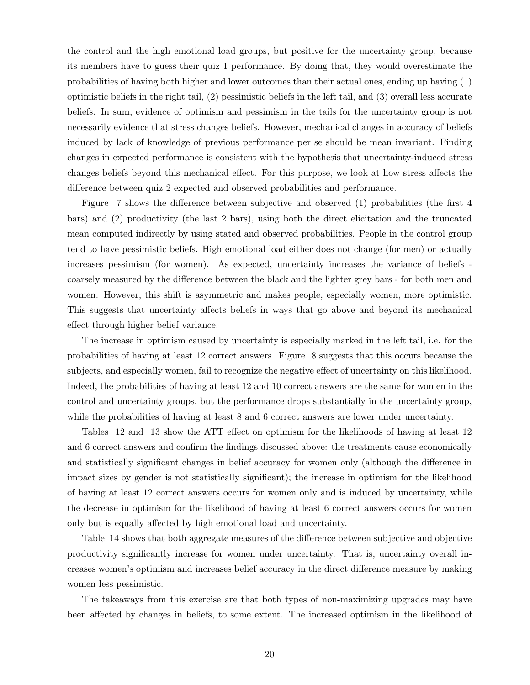the control and the high emotional load groups, but positive for the uncertainty group, because its members have to guess their quiz 1 performance. By doing that, they would overestimate the probabilities of having both higher and lower outcomes than their actual ones, ending up having (1) optimistic beliefs in the right tail, (2) pessimistic beliefs in the left tail, and (3) overall less accurate beliefs. In sum, evidence of optimism and pessimism in the tails for the uncertainty group is not necessarily evidence that stress changes beliefs. However, mechanical changes in accuracy of beliefs induced by lack of knowledge of previous performance per se should be mean invariant. Finding changes in expected performance is consistent with the hypothesis that uncertainty-induced stress changes beliefs beyond this mechanical effect. For this purpose, we look at how stress affects the difference between quiz 2 expected and observed probabilities and performance.

Figure 7 shows the difference between subjective and observed (1) probabilities (the first 4 bars) and (2) productivity (the last 2 bars), using both the direct elicitation and the truncated mean computed indirectly by using stated and observed probabilities. People in the control group tend to have pessimistic beliefs. High emotional load either does not change (for men) or actually increases pessimism (for women). As expected, uncertainty increases the variance of beliefs coarsely measured by the difference between the black and the lighter grey bars - for both men and women. However, this shift is asymmetric and makes people, especially women, more optimistic. This suggests that uncertainty affects beliefs in ways that go above and beyond its mechanical effect through higher belief variance.

The increase in optimism caused by uncertainty is especially marked in the left tail, i.e. for the probabilities of having at least 12 correct answers. Figure 8 suggests that this occurs because the subjects, and especially women, fail to recognize the negative effect of uncertainty on this likelihood. Indeed, the probabilities of having at least 12 and 10 correct answers are the same for women in the control and uncertainty groups, but the performance drops substantially in the uncertainty group, while the probabilities of having at least 8 and 6 correct answers are lower under uncertainty.

Tables 12 and 13 show the ATT effect on optimism for the likelihoods of having at least 12 and 6 correct answers and confirm the findings discussed above: the treatments cause economically and statistically significant changes in belief accuracy for women only (although the difference in impact sizes by gender is not statistically significant); the increase in optimism for the likelihood of having at least 12 correct answers occurs for women only and is induced by uncertainty, while the decrease in optimism for the likelihood of having at least 6 correct answers occurs for women only but is equally affected by high emotional load and uncertainty.

Table 14 shows that both aggregate measures of the difference between subjective and objective productivity significantly increase for women under uncertainty. That is, uncertainty overall increases women's optimism and increases belief accuracy in the direct difference measure by making women less pessimistic.

The takeaways from this exercise are that both types of non-maximizing upgrades may have been affected by changes in beliefs, to some extent. The increased optimism in the likelihood of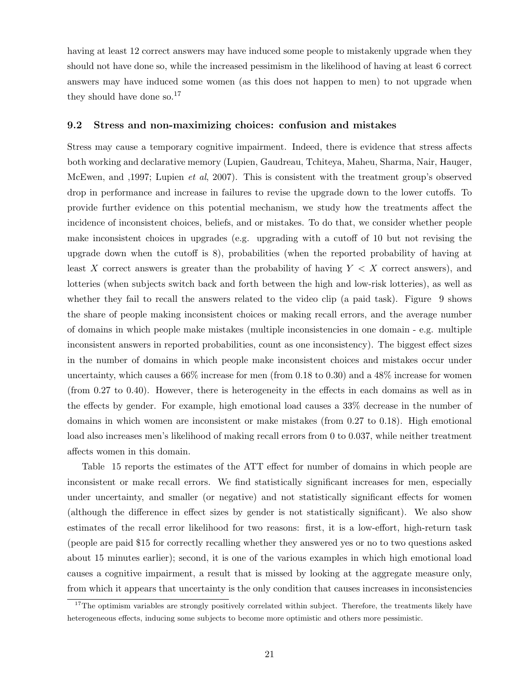having at least 12 correct answers may have induced some people to mistakenly upgrade when they should not have done so, while the increased pessimism in the likelihood of having at least 6 correct answers may have induced some women (as this does not happen to men) to not upgrade when they should have done so.<sup>17</sup>

### 9.2 Stress and non-maximizing choices: confusion and mistakes

Stress may cause a temporary cognitive impairment. Indeed, there is evidence that stress affects both working and declarative memory (Lupien, Gaudreau, Tchiteya, Maheu, Sharma, Nair, Hauger, McEwen, and ,1997; Lupien *et al*, 2007). This is consistent with the treatment group's observed drop in performance and increase in failures to revise the upgrade down to the lower cutoffs. To provide further evidence on this potential mechanism, we study how the treatments affect the incidence of inconsistent choices, beliefs, and or mistakes. To do that, we consider whether people make inconsistent choices in upgrades (e.g. upgrading with a cutoff of 10 but not revising the upgrade down when the cutoff is 8), probabilities (when the reported probability of having at least X correct answers is greater than the probability of having  $Y < X$  correct answers), and lotteries (when subjects switch back and forth between the high and low-risk lotteries), as well as whether they fail to recall the answers related to the video clip (a paid task). Figure 9 shows the share of people making inconsistent choices or making recall errors, and the average number of domains in which people make mistakes (multiple inconsistencies in one domain - e.g. multiple inconsistent answers in reported probabilities, count as one inconsistency). The biggest effect sizes in the number of domains in which people make inconsistent choices and mistakes occur under uncertainty, which causes a 66% increase for men (from 0.18 to 0.30) and a 48% increase for women (from 0.27 to 0.40). However, there is heterogeneity in the effects in each domains as well as in the effects by gender. For example, high emotional load causes a 33% decrease in the number of domains in which women are inconsistent or make mistakes (from 0.27 to 0.18). High emotional load also increases men's likelihood of making recall errors from 0 to 0.037, while neither treatment affects women in this domain.

Table 15 reports the estimates of the ATT effect for number of domains in which people are inconsistent or make recall errors. We find statistically significant increases for men, especially under uncertainty, and smaller (or negative) and not statistically significant effects for women (although the difference in effect sizes by gender is not statistically significant). We also show estimates of the recall error likelihood for two reasons: first, it is a low-effort, high-return task (people are paid \$15 for correctly recalling whether they answered yes or no to two questions asked about 15 minutes earlier); second, it is one of the various examples in which high emotional load causes a cognitive impairment, a result that is missed by looking at the aggregate measure only, from which it appears that uncertainty is the only condition that causes increases in inconsistencies

 $17$ The optimism variables are strongly positively correlated within subject. Therefore, the treatments likely have heterogeneous effects, inducing some subjects to become more optimistic and others more pessimistic.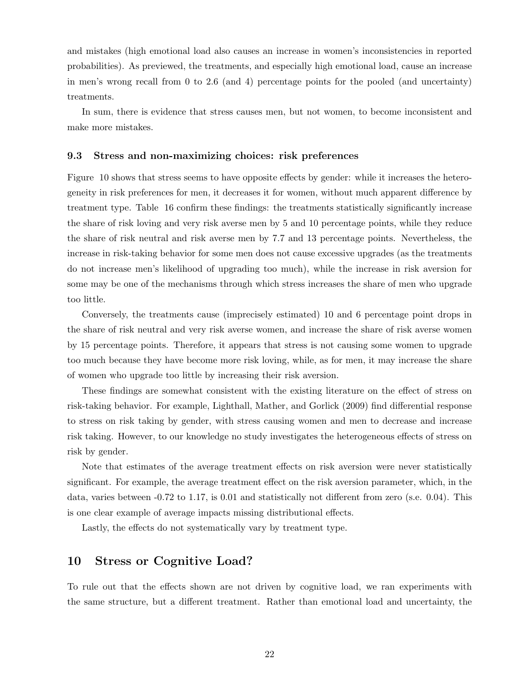and mistakes (high emotional load also causes an increase in women's inconsistencies in reported probabilities). As previewed, the treatments, and especially high emotional load, cause an increase in men's wrong recall from 0 to 2.6 (and 4) percentage points for the pooled (and uncertainty) treatments.

In sum, there is evidence that stress causes men, but not women, to become inconsistent and make more mistakes.

### 9.3 Stress and non-maximizing choices: risk preferences

Figure 10 shows that stress seems to have opposite effects by gender: while it increases the heterogeneity in risk preferences for men, it decreases it for women, without much apparent difference by treatment type. Table 16 confirm these findings: the treatments statistically significantly increase the share of risk loving and very risk averse men by 5 and 10 percentage points, while they reduce the share of risk neutral and risk averse men by 7.7 and 13 percentage points. Nevertheless, the increase in risk-taking behavior for some men does not cause excessive upgrades (as the treatments do not increase men's likelihood of upgrading too much), while the increase in risk aversion for some may be one of the mechanisms through which stress increases the share of men who upgrade too little.

Conversely, the treatments cause (imprecisely estimated) 10 and 6 percentage point drops in the share of risk neutral and very risk averse women, and increase the share of risk averse women by 15 percentage points. Therefore, it appears that stress is not causing some women to upgrade too much because they have become more risk loving, while, as for men, it may increase the share of women who upgrade too little by increasing their risk aversion.

These findings are somewhat consistent with the existing literature on the effect of stress on risk-taking behavior. For example, Lighthall, Mather, and Gorlick (2009) find differential response to stress on risk taking by gender, with stress causing women and men to decrease and increase risk taking. However, to our knowledge no study investigates the heterogeneous effects of stress on risk by gender.

Note that estimates of the average treatment effects on risk aversion were never statistically significant. For example, the average treatment effect on the risk aversion parameter, which, in the data, varies between -0.72 to 1.17, is 0.01 and statistically not different from zero (s.e. 0.04). This is one clear example of average impacts missing distributional effects.

Lastly, the effects do not systematically vary by treatment type.

# 10 Stress or Cognitive Load?

To rule out that the effects shown are not driven by cognitive load, we ran experiments with the same structure, but a different treatment. Rather than emotional load and uncertainty, the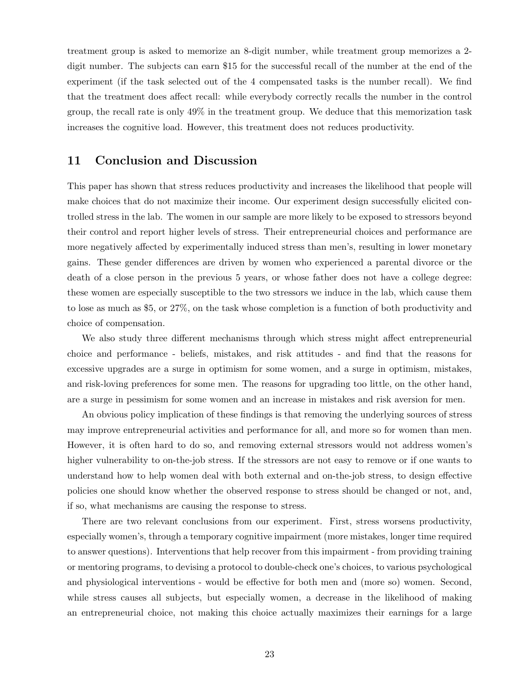treatment group is asked to memorize an 8-digit number, while treatment group memorizes a 2 digit number. The subjects can earn \$15 for the successful recall of the number at the end of the experiment (if the task selected out of the 4 compensated tasks is the number recall). We find that the treatment does affect recall: while everybody correctly recalls the number in the control group, the recall rate is only 49% in the treatment group. We deduce that this memorization task increases the cognitive load. However, this treatment does not reduces productivity.

# 11 Conclusion and Discussion

This paper has shown that stress reduces productivity and increases the likelihood that people will make choices that do not maximize their income. Our experiment design successfully elicited controlled stress in the lab. The women in our sample are more likely to be exposed to stressors beyond their control and report higher levels of stress. Their entrepreneurial choices and performance are more negatively affected by experimentally induced stress than men's, resulting in lower monetary gains. These gender differences are driven by women who experienced a parental divorce or the death of a close person in the previous 5 years, or whose father does not have a college degree: these women are especially susceptible to the two stressors we induce in the lab, which cause them to lose as much as \$5, or 27%, on the task whose completion is a function of both productivity and choice of compensation.

We also study three different mechanisms through which stress might affect entrepreneurial choice and performance - beliefs, mistakes, and risk attitudes - and find that the reasons for excessive upgrades are a surge in optimism for some women, and a surge in optimism, mistakes, and risk-loving preferences for some men. The reasons for upgrading too little, on the other hand, are a surge in pessimism for some women and an increase in mistakes and risk aversion for men.

An obvious policy implication of these findings is that removing the underlying sources of stress may improve entrepreneurial activities and performance for all, and more so for women than men. However, it is often hard to do so, and removing external stressors would not address women's higher vulnerability to on-the-job stress. If the stressors are not easy to remove or if one wants to understand how to help women deal with both external and on-the-job stress, to design effective policies one should know whether the observed response to stress should be changed or not, and, if so, what mechanisms are causing the response to stress.

There are two relevant conclusions from our experiment. First, stress worsens productivity, especially women's, through a temporary cognitive impairment (more mistakes, longer time required to answer questions). Interventions that help recover from this impairment - from providing training or mentoring programs, to devising a protocol to double-check one's choices, to various psychological and physiological interventions - would be effective for both men and (more so) women. Second, while stress causes all subjects, but especially women, a decrease in the likelihood of making an entrepreneurial choice, not making this choice actually maximizes their earnings for a large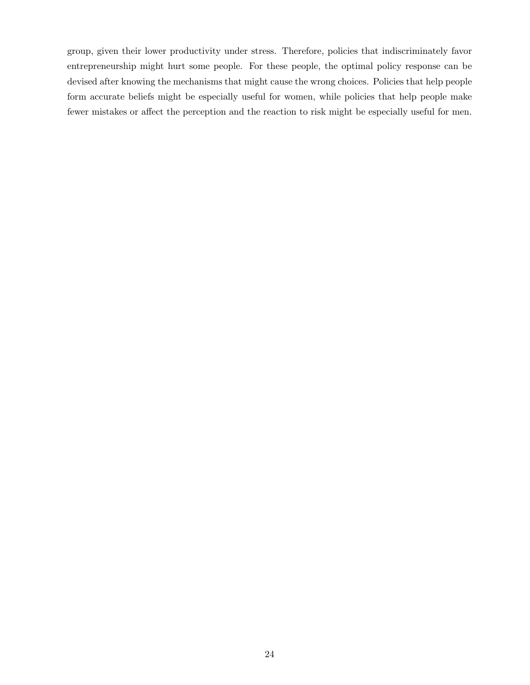group, given their lower productivity under stress. Therefore, policies that indiscriminately favor entrepreneurship might hurt some people. For these people, the optimal policy response can be devised after knowing the mechanisms that might cause the wrong choices. Policies that help people form accurate beliefs might be especially useful for women, while policies that help people make fewer mistakes or affect the perception and the reaction to risk might be especially useful for men.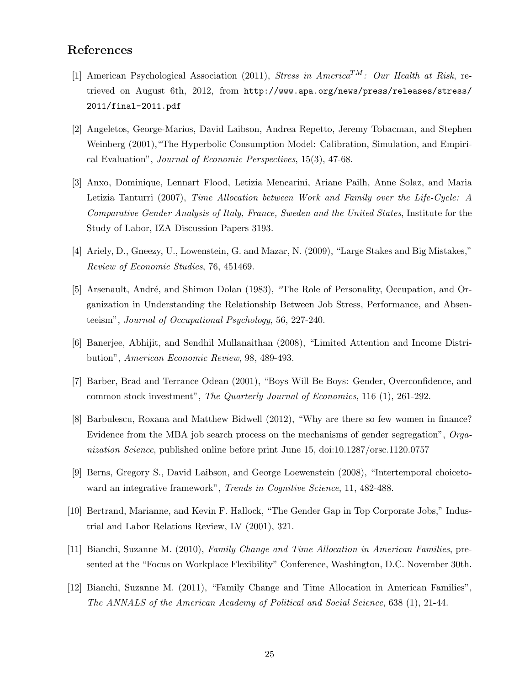# References

- [1] American Psychological Association (2011), Stress in America<sup>TM</sup>: Our Health at Risk, retrieved on August 6th, 2012, from http://www.apa.org/news/press/releases/stress/ 2011/final-2011.pdf
- [2] Angeletos, George-Marios, David Laibson, Andrea Repetto, Jeremy Tobacman, and Stephen Weinberg (2001), "The Hyperbolic Consumption Model: Calibration, Simulation, and Empirical Evaluation", Journal of Economic Perspectives, 15(3), 47-68.
- [3] Anxo, Dominique, Lennart Flood, Letizia Mencarini, Ariane Pailh, Anne Solaz, and Maria Letizia Tanturri (2007), Time Allocation between Work and Family over the Life-Cycle: A Comparative Gender Analysis of Italy, France, Sweden and the United States, Institute for the Study of Labor, IZA Discussion Papers 3193.
- [4] Ariely, D., Gneezy, U., Lowenstein, G. and Mazar, N. (2009), "Large Stakes and Big Mistakes," Review of Economic Studies, 76, 451469.
- [5] Arsenault, André, and Shimon Dolan (1983), "The Role of Personality, Occupation, and Organization in Understanding the Relationship Between Job Stress, Performance, and Absenteeism", Journal of Occupational Psychology, 56, 227-240.
- [6] Banerjee, Abhijit, and Sendhil Mullanaithan (2008), "Limited Attention and Income Distribution", American Economic Review, 98, 489-493.
- [7] Barber, Brad and Terrance Odean (2001), "Boys Will Be Boys: Gender, Overconfidence, and common stock investment", The Quarterly Journal of Economics, 116 (1), 261-292.
- [8] Barbulescu, Roxana and Matthew Bidwell (2012), "Why are there so few women in finance? Evidence from the MBA job search process on the mechanisms of gender segregation", Organization Science, published online before print June 15, doi:10.1287/orsc.1120.0757
- [9] Berns, Gregory S., David Laibson, and George Loewenstein (2008), "Intertemporal choicetoward an integrative framework", *Trends in Cognitive Science*, 11, 482-488.
- [10] Bertrand, Marianne, and Kevin F. Hallock, "The Gender Gap in Top Corporate Jobs," Industrial and Labor Relations Review, LV (2001), 321.
- [11] Bianchi, Suzanne M. (2010), Family Change and Time Allocation in American Families, presented at the "Focus on Workplace Flexibility" Conference, Washington, D.C. November 30th.
- [12] Bianchi, Suzanne M. (2011), "Family Change and Time Allocation in American Families", The ANNALS of the American Academy of Political and Social Science, 638 (1), 21-44.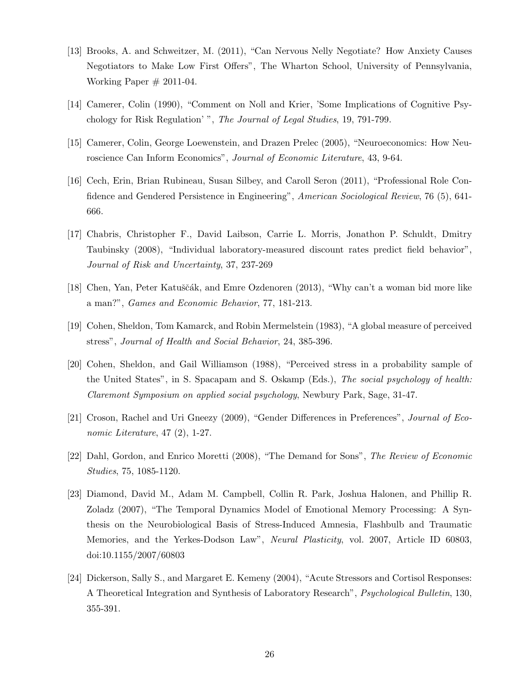- [13] Brooks, A. and Schweitzer, M. (2011), "Can Nervous Nelly Negotiate? How Anxiety Causes Negotiators to Make Low First Offers", The Wharton School, University of Pennsylvania, Working Paper  $\#$  2011-04.
- [14] Camerer, Colin (1990), "Comment on Noll and Krier, 'Some Implications of Cognitive Psychology for Risk Regulation' ", The Journal of Legal Studies, 19, 791-799.
- [15] Camerer, Colin, George Loewenstein, and Drazen Prelec (2005), "Neuroeconomics: How Neuroscience Can Inform Economics", Journal of Economic Literature, 43, 9-64.
- [16] Cech, Erin, Brian Rubineau, Susan Silbey, and Caroll Seron (2011), "Professional Role Confidence and Gendered Persistence in Engineering", American Sociological Review, 76 (5), 641-666.
- [17] Chabris, Christopher F., David Laibson, Carrie L. Morris, Jonathon P. Schuldt, Dmitry Taubinsky (2008), "Individual laboratory-measured discount rates predict field behavior", Journal of Risk and Uncertainty, 37, 237-269
- [18] Chen, Yan, Peter Katuščák, and Emre Ozdenoren (2013), "Why can't a woman bid more like a man?", Games and Economic Behavior, 77, 181-213.
- [19] Cohen, Sheldon, Tom Kamarck, and Robin Mermelstein (1983), "A global measure of perceived stress", Journal of Health and Social Behavior, 24, 385-396.
- [20] Cohen, Sheldon, and Gail Williamson (1988), "Perceived stress in a probability sample of the United States", in S. Spacapam and S. Oskamp (Eds.), The social psychology of health: Claremont Symposium on applied social psychology, Newbury Park, Sage, 31-47.
- [21] Croson, Rachel and Uri Gneezy (2009), "Gender Differences in Preferences", Journal of Economic Literature, 47  $(2)$ , 1-27.
- [22] Dahl, Gordon, and Enrico Moretti (2008), "The Demand for Sons", The Review of Economic Studies, 75, 1085-1120.
- [23] Diamond, David M., Adam M. Campbell, Collin R. Park, Joshua Halonen, and Phillip R. Zoladz (2007), "The Temporal Dynamics Model of Emotional Memory Processing: A Synthesis on the Neurobiological Basis of Stress-Induced Amnesia, Flashbulb and Traumatic Memories, and the Yerkes-Dodson Law", Neural Plasticity, vol. 2007, Article ID 60803, doi:10.1155/2007/60803
- [24] Dickerson, Sally S., and Margaret E. Kemeny (2004), "Acute Stressors and Cortisol Responses: A Theoretical Integration and Synthesis of Laboratory Research", Psychological Bulletin, 130, 355-391.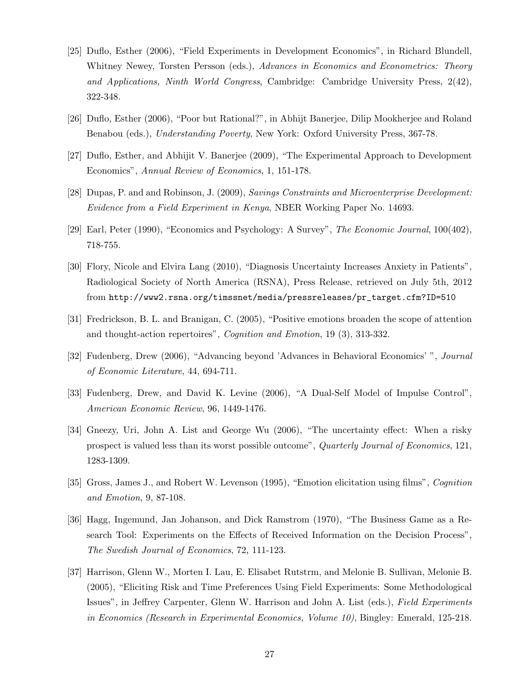- [25] Duflo, Esther (2006), "Field Experiments in Development Economics", in Richard Blundell, Whitney Newey, Torsten Persson (eds.), Advances in Economics and Econometrics: Theory and Applications, Ninth World Congress, Cambridge: Cambridge University Press, 2(42), 322-348.
- [26] Duflo, Esther (2006), "Poor but Rational?", in Abhijt Banerjee, Dilip Mookherjee and Roland Benabou (eds.), Understanding Poverty, New York: Oxford University Press, 367-78.
- [27] Duflo, Esther, and Abhijit V. Banerjee (2009), "The Experimental Approach to Development Economics", Annual Review of Economics, 1, 151-178.
- [28] Dupas, P. and and Robinson, J. (2009), Savings Constraints and Microenterprise Development: Evidence from a Field Experiment in Kenya, NBER Working Paper No. 14693.
- [29] Earl, Peter (1990), "Economics and Psychology: A Survey", The Economic Journal, 100(402), 718-755.
- [30] Flory, Nicole and Elvira Lang (2010), "Diagnosis Uncertainty Increases Anxiety in Patients", Radiological Society of North America (RSNA), Press Release, retrieved on July 5th, 2012 from http://www2.rsna.org/timssnet/media/pressreleases/pr\_target.cfm?ID=510
- [31] Fredrickson, B. L. and Branigan, C. (2005), "Positive emotions broaden the scope of attention and thought-action repertoires", Cognition and Emotion, 19 (3), 313-332.
- [32] Fudenberg, Drew (2006), "Advancing beyond 'Advances in Behavioral Economics' ", Journal of Economic Literature, 44, 694-711.
- [33] Fudenberg, Drew, and David K. Levine (2006), "A Dual-Self Model of Impulse Control", American Economic Review, 96, 1449-1476.
- [34] Gneezy, Uri, John A. List and George Wu (2006), "The uncertainty effect: When a risky prospect is valued less than its worst possible outcome", Quarterly Journal of Economics, 121, 1283-1309.
- [35] Gross, James J., and Robert W. Levenson (1995), "Emotion elicitation using films", Cognition and Emotion, 9, 87-108.
- [36] Hagg, Ingemund, Jan Johanson, and Dick Ramstrom (1970), "The Business Game as a Research Tool: Experiments on the Effects of Received Information on the Decision Process", The Swedish Journal of Economics, 72, 111-123.
- [37] Harrison, Glenn W., Morten I. Lau, E. Elisabet Rutstrm, and Melonie B. Sullivan, Melonie B. (2005), "Eliciting Risk and Time Preferences Using Field Experiments: Some Methodological Issues", in Jeffrey Carpenter, Glenn W. Harrison and John A. List (eds.), Field Experiments in Economics (Research in Experimental Economics, Volume 10), Bingley: Emerald, 125-218.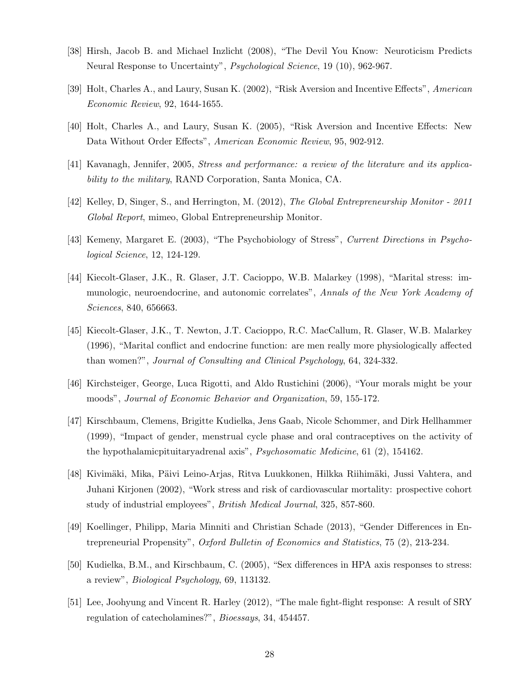- [38] Hirsh, Jacob B. and Michael Inzlicht (2008), "The Devil You Know: Neuroticism Predicts Neural Response to Uncertainty", Psychological Science, 19 (10), 962-967.
- [39] Holt, Charles A., and Laury, Susan K. (2002), "Risk Aversion and Incentive Effects", American Economic Review, 92, 1644-1655.
- [40] Holt, Charles A., and Laury, Susan K. (2005), "Risk Aversion and Incentive Effects: New Data Without Order Effects", American Economic Review, 95, 902-912.
- [41] Kavanagh, Jennifer, 2005, Stress and performance: a review of the literature and its applicability to the military, RAND Corporation, Santa Monica, CA.
- [42] Kelley, D, Singer, S., and Herrington, M. (2012), The Global Entrepreneurship Monitor 2011 Global Report, mimeo, Global Entrepreneurship Monitor.
- [43] Kemeny, Margaret E. (2003), "The Psychobiology of Stress", Current Directions in Psychological Science, 12, 124-129.
- [44] Kiecolt-Glaser, J.K., R. Glaser, J.T. Cacioppo, W.B. Malarkey (1998), "Marital stress: immunologic, neuroendocrine, and autonomic correlates", Annals of the New York Academy of Sciences, 840, 656663.
- [45] Kiecolt-Glaser, J.K., T. Newton, J.T. Cacioppo, R.C. MacCallum, R. Glaser, W.B. Malarkey (1996), "Marital conflict and endocrine function: are men really more physiologically affected than women?", Journal of Consulting and Clinical Psychology, 64, 324-332.
- [46] Kirchsteiger, George, Luca Rigotti, and Aldo Rustichini (2006), "Your morals might be your moods", Journal of Economic Behavior and Organization, 59, 155-172.
- [47] Kirschbaum, Clemens, Brigitte Kudielka, Jens Gaab, Nicole Schommer, and Dirk Hellhammer (1999), "Impact of gender, menstrual cycle phase and oral contraceptives on the activity of the hypothalamicpituitaryadrenal axis", Psychosomatic Medicine, 61 (2), 154162.
- [48] Kivimäki, Mika, Päivi Leino-Arjas, Ritva Luukkonen, Hilkka Riihimäki, Jussi Vahtera, and Juhani Kirjonen (2002), "Work stress and risk of cardiovascular mortality: prospective cohort study of industrial employees", British Medical Journal, 325, 857-860.
- [49] Koellinger, Philipp, Maria Minniti and Christian Schade (2013), "Gender Differences in Entrepreneurial Propensity", Oxford Bulletin of Economics and Statistics, 75 (2), 213-234.
- [50] Kudielka, B.M., and Kirschbaum, C. (2005), "Sex differences in HPA axis responses to stress: a review", Biological Psychology, 69, 113132.
- [51] Lee, Joohyung and Vincent R. Harley (2012), "The male fight-flight response: A result of SRY regulation of catecholamines?", Bioessays, 34, 454457.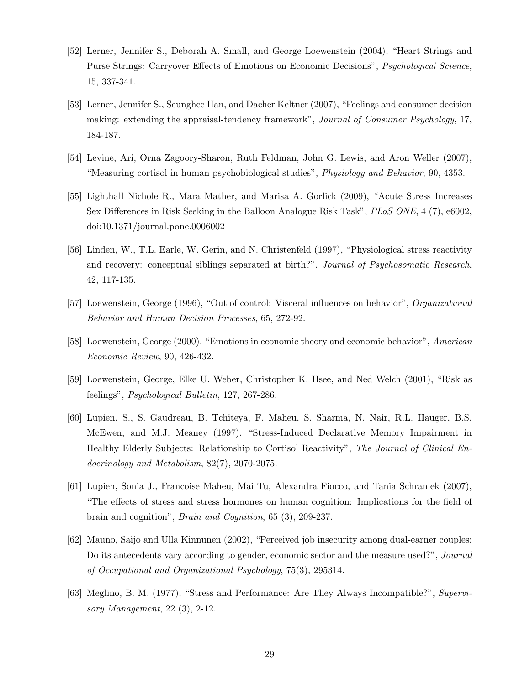- [52] Lerner, Jennifer S., Deborah A. Small, and George Loewenstein (2004), "Heart Strings and Purse Strings: Carryover Effects of Emotions on Economic Decisions", Psychological Science, 15, 337-341.
- [53] Lerner, Jennifer S., Seunghee Han, and Dacher Keltner (2007), "Feelings and consumer decision making: extending the appraisal-tendency framework", Journal of Consumer Psychology, 17, 184-187.
- [54] Levine, Ari, Orna Zagoory-Sharon, Ruth Feldman, John G. Lewis, and Aron Weller (2007), "Measuring cortisol in human psychobiological studies", Physiology and Behavior, 90, 4353.
- [55] Lighthall Nichole R., Mara Mather, and Marisa A. Gorlick (2009), "Acute Stress Increases Sex Differences in Risk Seeking in the Balloon Analogue Risk Task", PLoS ONE, 4 (7), e6002, doi:10.1371/journal.pone.0006002
- [56] Linden, W., T.L. Earle, W. Gerin, and N. Christenfeld (1997), "Physiological stress reactivity and recovery: conceptual siblings separated at birth?", Journal of Psychosomatic Research, 42, 117-135.
- [57] Loewenstein, George (1996), "Out of control: Visceral influences on behavior", Organizational Behavior and Human Decision Processes, 65, 272-92.
- [58] Loewenstein, George (2000), "Emotions in economic theory and economic behavior", American Economic Review, 90, 426-432.
- [59] Loewenstein, George, Elke U. Weber, Christopher K. Hsee, and Ned Welch (2001), "Risk as feelings", Psychological Bulletin, 127, 267-286.
- [60] Lupien, S., S. Gaudreau, B. Tchiteya, F. Maheu, S. Sharma, N. Nair, R.L. Hauger, B.S. McEwen, and M.J. Meaney (1997), "Stress-Induced Declarative Memory Impairment in Healthy Elderly Subjects: Relationship to Cortisol Reactivity", The Journal of Clinical Endocrinology and Metabolism, 82(7), 2070-2075.
- [61] Lupien, Sonia J., Francoise Maheu, Mai Tu, Alexandra Fiocco, and Tania Schramek (2007), "The effects of stress and stress hormones on human cognition: Implications for the field of brain and cognition", Brain and Cognition, 65 (3), 209-237.
- [62] Mauno, Saijo and Ulla Kinnunen (2002), "Perceived job insecurity among dual-earner couples: Do its antecedents vary according to gender, economic sector and the measure used?", Journal of Occupational and Organizational Psychology, 75(3), 295314.
- [63] Meglino, B. M. (1977), "Stress and Performance: Are They Always Incompatible?", Supervisory Management, 22 (3), 2-12.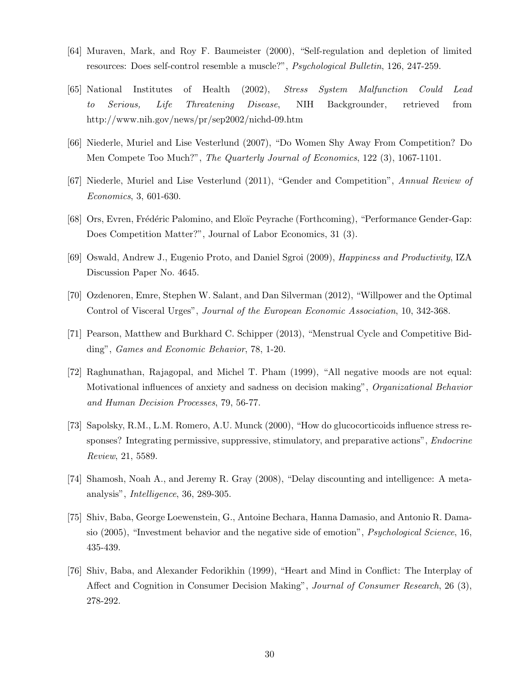- [64] Muraven, Mark, and Roy F. Baumeister (2000), "Self-regulation and depletion of limited resources: Does self-control resemble a muscle?", Psychological Bulletin, 126, 247-259.
- [65] National Institutes of Health (2002), Stress System Malfunction Could Lead to Serious, Life Threatening Disease, NIH Backgrounder, retrieved from http://www.nih.gov/news/pr/sep2002/nichd-09.htm
- [66] Niederle, Muriel and Lise Vesterlund (2007), "Do Women Shy Away From Competition? Do Men Compete Too Much?", The Quarterly Journal of Economics, 122 (3), 1067-1101.
- [67] Niederle, Muriel and Lise Vesterlund (2011), "Gender and Competition", Annual Review of Economics, 3, 601-630.
- [68] Ors, Evren, Frédéric Palomino, and Eloïc Peyrache (Forthcoming), "Performance Gender-Gap: Does Competition Matter?", Journal of Labor Economics, 31 (3).
- [69] Oswald, Andrew J., Eugenio Proto, and Daniel Sgroi (2009), Happiness and Productivity, IZA Discussion Paper No. 4645.
- [70] Ozdenoren, Emre, Stephen W. Salant, and Dan Silverman (2012), "Willpower and the Optimal Control of Visceral Urges", Journal of the European Economic Association, 10, 342-368.
- [71] Pearson, Matthew and Burkhard C. Schipper (2013), "Menstrual Cycle and Competitive Bidding", Games and Economic Behavior, 78, 1-20.
- [72] Raghunathan, Rajagopal, and Michel T. Pham (1999), "All negative moods are not equal: Motivational influences of anxiety and sadness on decision making", *Organizational Behavior* and Human Decision Processes, 79, 56-77.
- [73] Sapolsky, R.M., L.M. Romero, A.U. Munck (2000), "How do glucocorticoids influence stress responses? Integrating permissive, suppressive, stimulatory, and preparative actions", *Endocrine* Review, 21, 5589.
- [74] Shamosh, Noah A., and Jeremy R. Gray (2008), "Delay discounting and intelligence: A metaanalysis", Intelligence, 36, 289-305.
- [75] Shiv, Baba, George Loewenstein, G., Antoine Bechara, Hanna Damasio, and Antonio R. Damasio  $(2005)$ , "Investment behavior and the negative side of emotion", *Psychological Science*, 16, 435-439.
- [76] Shiv, Baba, and Alexander Fedorikhin (1999), "Heart and Mind in Conflict: The Interplay of Affect and Cognition in Consumer Decision Making", Journal of Consumer Research, 26 (3), 278-292.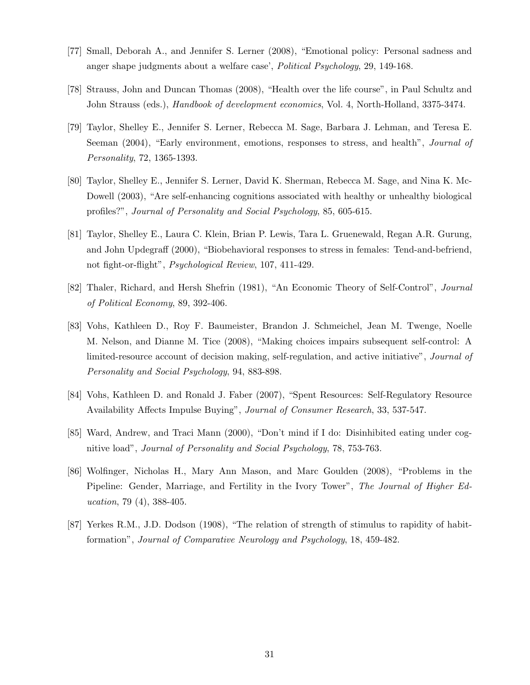- [77] Small, Deborah A., and Jennifer S. Lerner (2008), "Emotional policy: Personal sadness and anger shape judgments about a welfare case', Political Psychology, 29, 149-168.
- [78] Strauss, John and Duncan Thomas (2008), "Health over the life course", in Paul Schultz and John Strauss (eds.), Handbook of development economics, Vol. 4, North-Holland, 3375-3474.
- [79] Taylor, Shelley E., Jennifer S. Lerner, Rebecca M. Sage, Barbara J. Lehman, and Teresa E. Seeman (2004), "Early environment, emotions, responses to stress, and health", *Journal of* Personality, 72, 1365-1393.
- [80] Taylor, Shelley E., Jennifer S. Lerner, David K. Sherman, Rebecca M. Sage, and Nina K. Mc-Dowell (2003), "Are self-enhancing cognitions associated with healthy or unhealthy biological profiles?", Journal of Personality and Social Psychology, 85, 605-615.
- [81] Taylor, Shelley E., Laura C. Klein, Brian P. Lewis, Tara L. Gruenewald, Regan A.R. Gurung, and John Updegraff (2000), "Biobehavioral responses to stress in females: Tend-and-befriend, not fight-or-flight", Psychological Review, 107, 411-429.
- [82] Thaler, Richard, and Hersh Shefrin (1981), "An Economic Theory of Self-Control", Journal of Political Economy, 89, 392-406.
- [83] Vohs, Kathleen D., Roy F. Baumeister, Brandon J. Schmeichel, Jean M. Twenge, Noelle M. Nelson, and Dianne M. Tice (2008), "Making choices impairs subsequent self-control: A limited-resource account of decision making, self-regulation, and active initiative", Journal of Personality and Social Psychology, 94, 883-898.
- [84] Vohs, Kathleen D. and Ronald J. Faber (2007), "Spent Resources: Self-Regulatory Resource Availability Affects Impulse Buying", Journal of Consumer Research, 33, 537-547.
- [85] Ward, Andrew, and Traci Mann (2000), "Don't mind if I do: Disinhibited eating under cognitive load", Journal of Personality and Social Psychology, 78, 753-763.
- [86] Wolfinger, Nicholas H., Mary Ann Mason, and Marc Goulden (2008), "Problems in the Pipeline: Gender, Marriage, and Fertility in the Ivory Tower", The Journal of Higher Education, 79 (4), 388-405.
- [87] Yerkes R.M., J.D. Dodson (1908), "The relation of strength of stimulus to rapidity of habitformation", Journal of Comparative Neurology and Psychology, 18, 459-482.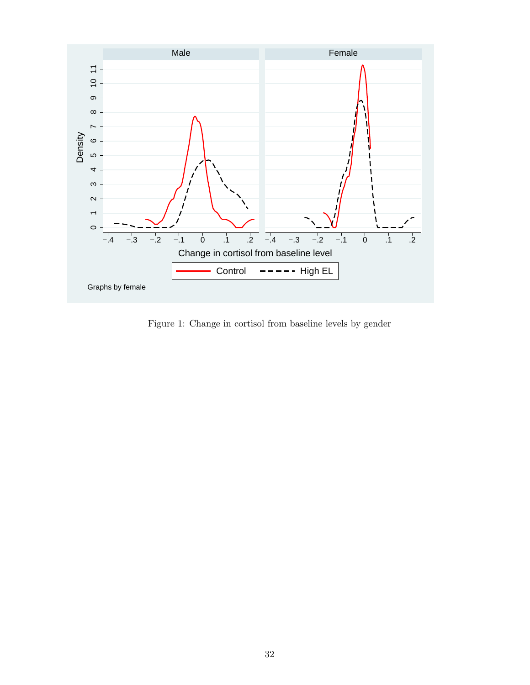

Figure 1: Change in cortisol from baseline levels by gender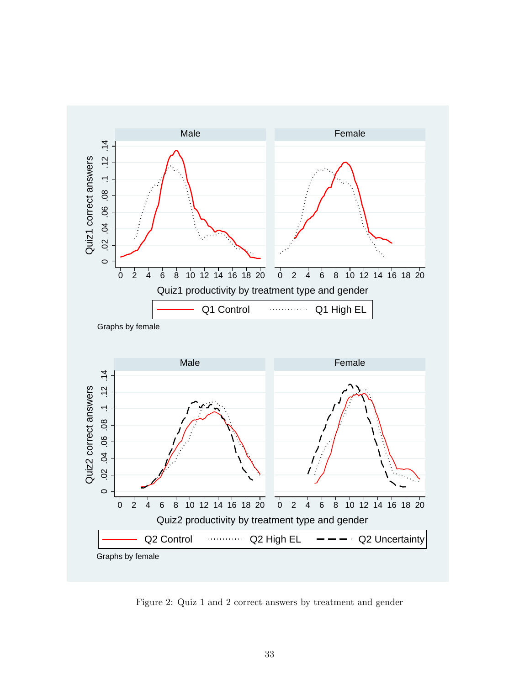

Figure 2: Quiz 1 and 2 correct answers by treatment and gender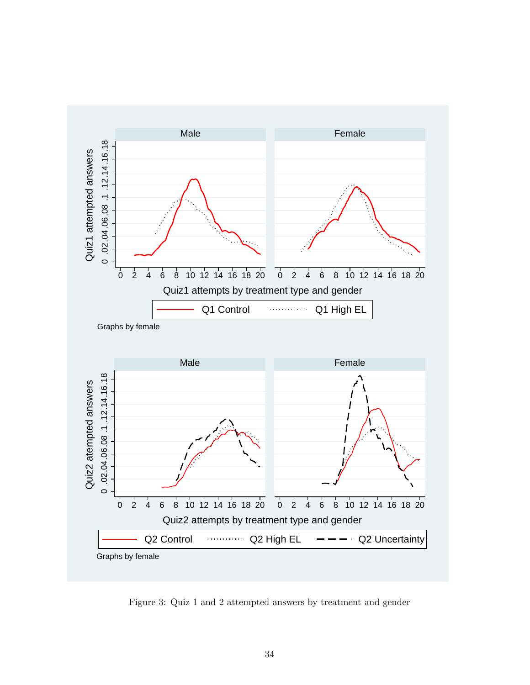

Figure 3: Quiz 1 and 2 attempted answers by treatment and gender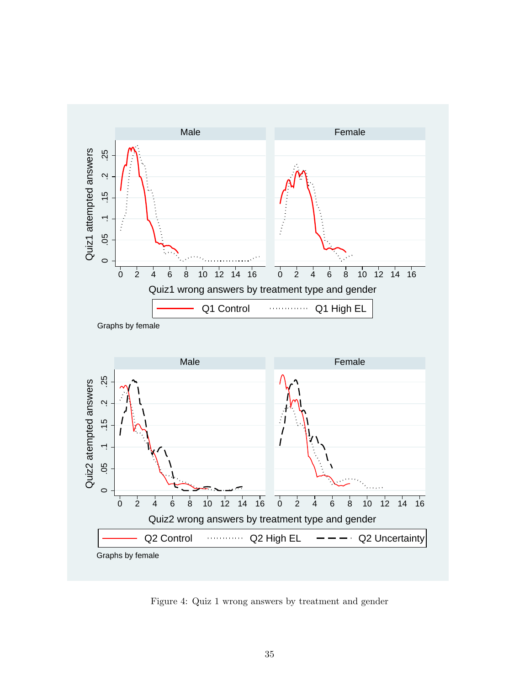

Figure 4: Quiz 1 wrong answers by treatment and gender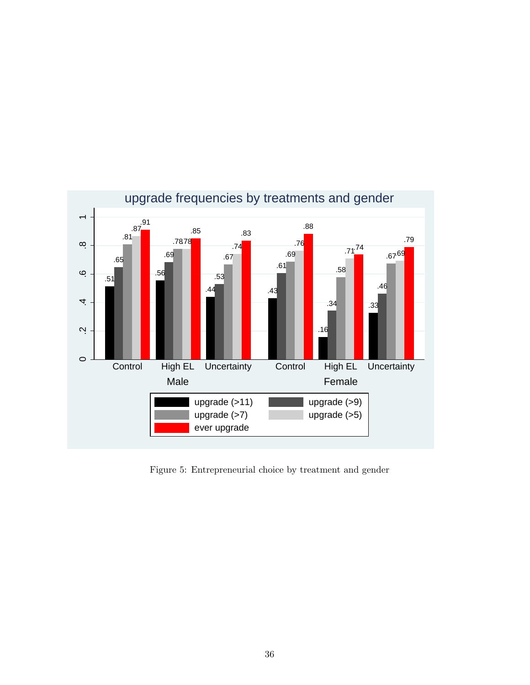

Figure 5: Entrepreneurial choice by treatment and gender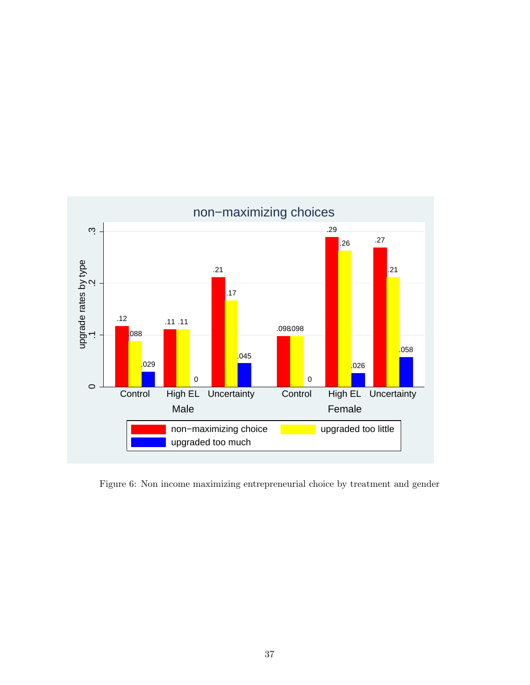

Figure 6: Non income maximizing entrepreneurial choice by treatment and gender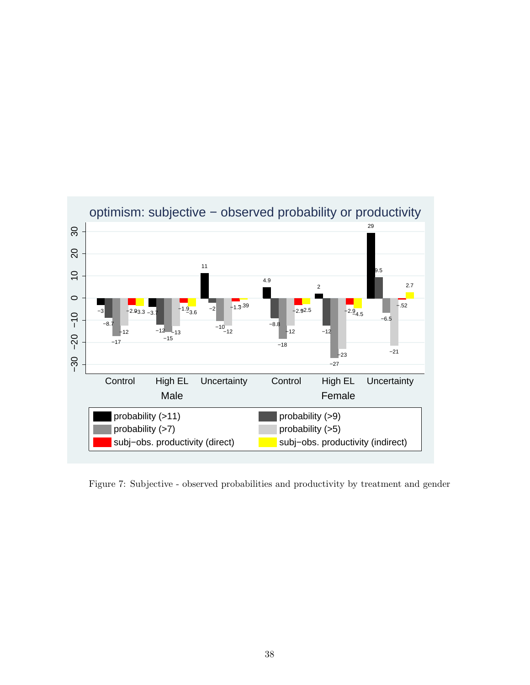

Figure 7: Subjective - observed probabilities and productivity by treatment and gender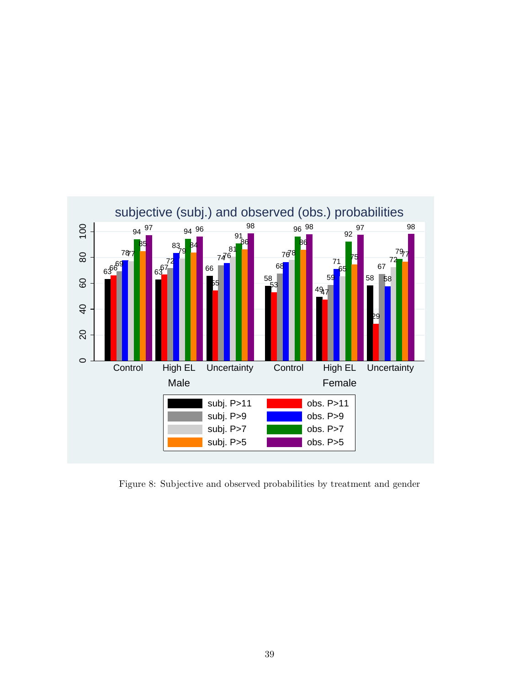

Figure 8: Subjective and observed probabilities by treatment and gender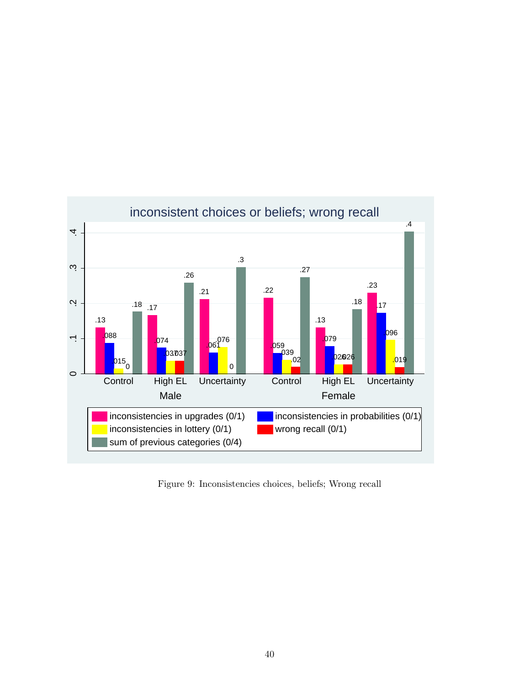

Figure 9: Inconsistencies choices, beliefs; Wrong recall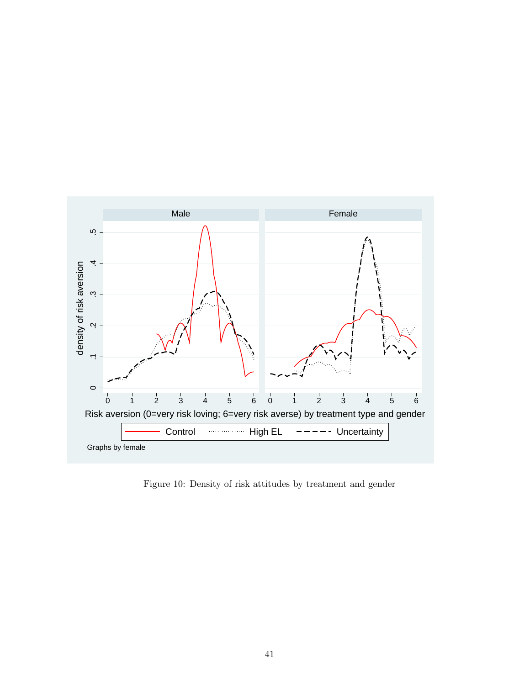

Figure 10: Density of risk attitudes by treatment and gender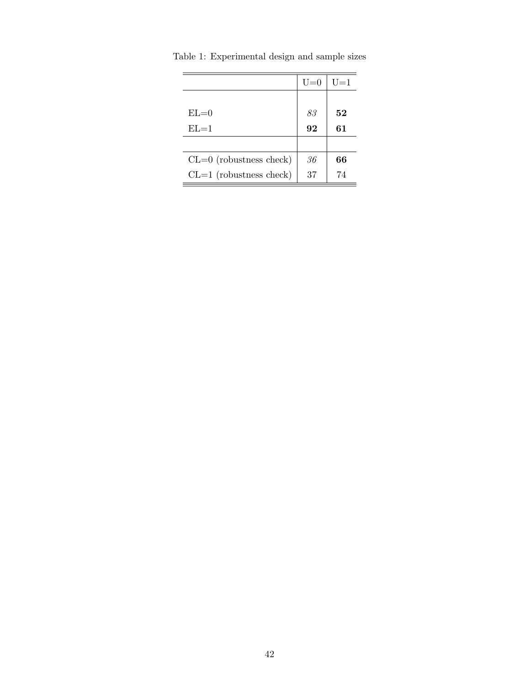|                           | $U=0$ | U=1 |
|---------------------------|-------|-----|
|                           |       |     |
| $EL=0$                    | 83    | 52  |
| $EL=1$                    | 92    | 61  |
|                           |       |     |
| $CL=0$ (robustness check) | 36    | 66  |
| $CL=1$ (robustness check) | 37    | 74  |

Table 1: Experimental design and sample sizes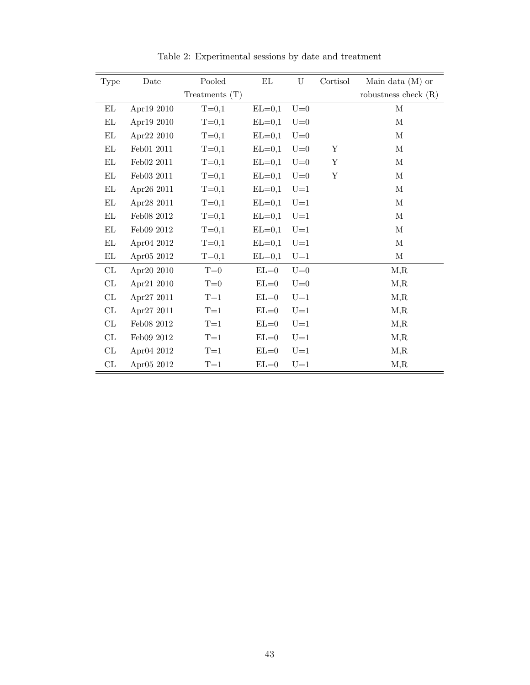| Type                              | Date       | Pooled           | ΕL       | U     | Cortisol | Main data $(M)$ or     |
|-----------------------------------|------------|------------------|----------|-------|----------|------------------------|
|                                   |            | Treatments $(T)$ |          |       |          | robustness check $(R)$ |
| EL                                | Apr19 2010 | $T = 0,1$        | $EL=0,1$ | $U=0$ |          | $\mathbf M$            |
| EL                                | Apr19 2010 | $T = 0,1$        | $EL=0,1$ | $U=0$ |          | $\mathbf M$            |
| EL                                | Apr22 2010 | $T = 0,1$        | $EL=0,1$ | $U=0$ |          | $\mathbf M$            |
| $\mathop{\rm EL}$                 | Feb01 2011 | $T = 0,1$        | $EL=0,1$ | $U=0$ | Υ        | М                      |
| EL                                | Feb02 2011 | $T = 0,1$        | $EL=0,1$ | $U=0$ | Y        | $\mathbf M$            |
| $\mathop{\rm EL}\nolimits$        | Feb03 2011 | $T = 0,1$        | $EL=0,1$ | $U=0$ | Y        | $\mathbf M$            |
| ΕL                                | Apr26 2011 | $T = 0,1$        | $EL=0,1$ | $U=1$ |          | М                      |
| EL                                | Apr28 2011 | $T = 0,1$        | $EL=0,1$ | $U=1$ |          | $\mathbf M$            |
| EL                                | Feb08 2012 | $T = 0,1$        | $EL=0,1$ | $U=1$ |          | $\mathbf M$            |
| $\mathop{\rm EL}$                 | Feb09 2012 | $T = 0,1$        | $EL=0,1$ | $U=1$ |          | $\mathbf M$            |
| EL                                | Apr04 2012 | $T = 0,1$        | $EL=0,1$ | $U=1$ |          | $\mathbf M$            |
| $\mathop{\rm EL}\nolimits$        | Apr05 2012 | $T = 0,1$        | $EL=0,1$ | $U=1$ |          | $\mathbf{M}$           |
| CL                                | Apr20 2010 | $T=0$            | $EL=0$   | $U=0$ |          | M, R                   |
| $\ensuremath{\mathrm{CL}}\xspace$ | Apr21 2010 | $T=0$            | $EL=0$   | $U=0$ |          | M, R                   |
| $\ensuremath{\mathrm{CL}}\xspace$ | Apr27 2011 | $T=1$            | $EL=0$   | $U=1$ |          | M, R                   |
| CL                                | Apr27 2011 | $T=1$            | $EL=0$   | $U=1$ |          | M, R                   |
| CL                                | Feb08 2012 | $T=1$            | $EL=0$   | $U=1$ |          | M, R                   |
| CL                                | Feb09 2012 | $T=1$            | $EL=0$   | $U=1$ |          | M, R                   |
| CL                                | Apr04 2012 | $T=1$            | $EL=0$   | $U=1$ |          | M, R                   |
| CL                                | Apr05 2012 | $T=1$            | $EL=0$   | $U=1$ |          | M, R                   |

Table 2: Experimental sessions by date and treatment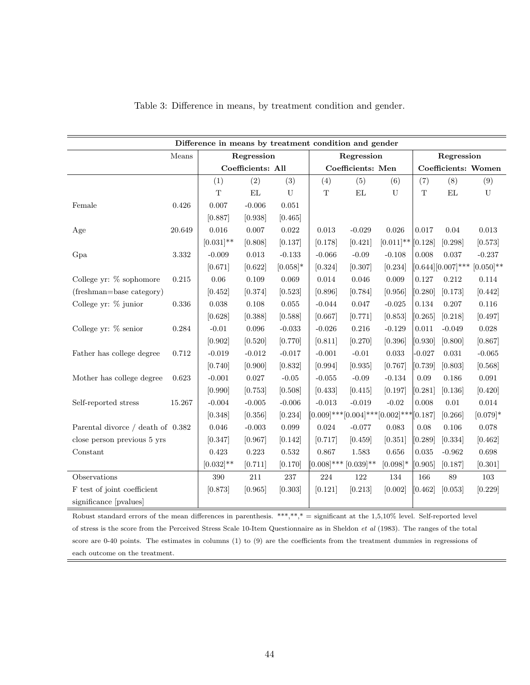|                                   | Difference in means by treatment condition and gender |              |                   |             |                            |                                                     |              |                     |               |                                   |  |
|-----------------------------------|-------------------------------------------------------|--------------|-------------------|-------------|----------------------------|-----------------------------------------------------|--------------|---------------------|---------------|-----------------------------------|--|
|                                   | Means                                                 |              | Regression        |             |                            | Regression                                          |              |                     | Regression    |                                   |  |
|                                   |                                                       |              | Coefficients: All |             |                            | Coefficients: Men                                   |              | Coefficients: Women |               |                                   |  |
|                                   |                                                       | (1)          | (2)               | (3)         | (4)                        | (5)                                                 | (6)          | (7)                 | (8)           | (9)                               |  |
|                                   |                                                       | $\mathbf T$  | $\mathop{\rm EL}$ | ${\bf U}$   | $\mathbf T$                | $\mathop{\rm EL}$                                   | ${\bf U}$    | $\mathbf T$         | $\mathbf{EL}$ | ${\bf U}$                         |  |
| Female                            | 0.426                                                 | 0.007        | $-0.006$          | 0.051       |                            |                                                     |              |                     |               |                                   |  |
|                                   |                                                       | [0.887]      | [0.938]           | [0.465]     |                            |                                                     |              |                     |               |                                   |  |
| Age                               | 20.649                                                | 0.016        | $0.007\,$         | $\,0.022\,$ | $\,0.013\,$                | $-0.029$                                            | 0.026        | 0.017               | 0.04          | 0.013                             |  |
|                                   |                                                       | $[0.031]$ ** | [0.808]           | [0.137]     | [0.178]                    | [0.421]                                             | $[0.011]$ ** | [0.128]             | [0.298]       | [0.573]                           |  |
| Gpa                               | $3.332\,$                                             | $-0.009$     | 0.013             | $-0.133$    | $-0.066$                   | $-0.09$                                             | $-0.108$     | 0.008               | 0.037         | $-0.237$                          |  |
|                                   |                                                       | [0.671]      | [0.622]           | $[0.058]$ * | [0.324]                    | [0.307]                                             | [0.234]      |                     |               | $[0.644][0.007]$ *** $[0.050]$ ** |  |
| College yr: % sophomore           | $\rm 0.215$                                           | $0.06\,$     | 0.109             | 0.069       | 0.014                      | 0.046                                               | 0.009        | $0.127\,$           | $\rm 0.212$   | $0.114\,$                         |  |
| (freshman=base category)          |                                                       | [0.452]      | [0.374]           | [0.523]     | [0.896]                    | [0.784]                                             | [0.956]      | [0.280]             | [0.173]       | [0.442]                           |  |
| College yr: % junior              | $0.336\,$                                             | 0.038        | 0.108             | 0.055       | $-0.044$                   | 0.047                                               | $-0.025$     | 0.134               | 0.207         | 0.116                             |  |
|                                   |                                                       | [0.628]      | [0.388]           | [0.588]     | [0.667]                    | [0.771]                                             | [0.853]      | [0.265]             | [0.218]       | [0.497]                           |  |
| College yr: % senior              | 0.284                                                 | $-0.01$      | $\,0.096\,$       | $-0.033$    | $-0.026$                   | $0.216\,$                                           | $-0.129$     | 0.011               | $-0.049$      | 0.028                             |  |
|                                   |                                                       | [0.902]      | [0.520]           | [0.770]     | [0.811]                    | [0.270]                                             | [0.396]      | [0.930]             | [0.800]       | [0.867]                           |  |
| Father has college degree         | 0.712                                                 | $-0.019$     | $-0.012$          | $-0.017$    | $-0.001$                   | $-0.01$                                             | 0.033        | $-0.027$            | $\,0.031\,$   | $-0.065$                          |  |
|                                   |                                                       | [0.740]      | [0.900]           | [0.832]     | [0.994]                    | [0.935]                                             | [0.767]      | [0.739]             | [0.803]       | [0.568]                           |  |
| Mother has college degree         | 0.623                                                 | $-0.001$     | 0.027             | $-0.05$     | $-0.055$                   | $-0.09$                                             | $-0.134$     | 0.09                | 0.186         | 0.091                             |  |
|                                   |                                                       | [0.990]      | [0.753]           | [0.508]     | [0.433]                    | [0.415]                                             | [0.197]      | [0.281]             | [0.136]       | [0.420]                           |  |
| Self-reported stress              | 15.267                                                | $-0.004$     | $-0.005$          | $-0.006$    | $-0.013$                   | $-0.019$                                            | $-0.02$      | 0.008               | $0.01\,$      | $0.014\,$                         |  |
|                                   |                                                       | [0.348]      | [0.356]           | [0.234]     |                            | $[0.009]$ *** $[0.004]$ *** $[0.002]$ *** $[0.187]$ |              |                     | [0.266]       | $[0.079]$ *                       |  |
| Parental divorce / death of 0.382 |                                                       | 0.046        | $-0.003$          | 0.099       | $\,0.024\,$                | $-0.077$                                            | 0.083        | 0.08                | 0.106         | 0.078                             |  |
| close person previous 5 yrs       |                                                       | [0.347]      | [0.967]           | [0.142]     | [0.717]                    | [0.459]                                             | [0.351]      | [0.289]             | [0.334]       | [0.462]                           |  |
| Constant                          |                                                       | 0.423        | 0.223             | 0.532       | 0.867                      | 1.583                                               | 0.656        | 0.035               | $-0.962$      | 0.698                             |  |
|                                   |                                                       | $[0.032]$ ** | [0.711]           | [0.170]     | $[0.008]$ *** $[0.039]$ ** |                                                     | $[0.098]*$   | [0.905]             | [0.187]       | [0.301]                           |  |
| Observations                      |                                                       | $390\,$      | 211               | $237\,$     | $224\,$                    | 122                                                 | $134\,$      | 166                 | 89            | 103                               |  |
| F test of joint coefficient       |                                                       | [0.873]      | [0.965]           | [0.303]     | [0.121]                    | [0.213]                                             | [0.002]      | [0.462]             | [0.053]       | [0.229]                           |  |
| significance [pvalues]            |                                                       |              |                   |             |                            |                                                     |              |                     |               |                                   |  |

### Table 3: Difference in means, by treatment condition and gender.

Robust standard errors of the mean differences in parenthesis. \*\*\*,\*\*,\* = significant at the  $1,5,10\%$  level. Self-reported level of stress is the score from the Perceived Stress Scale 10-Item Questionnaire as in Sheldon et al (1983). The ranges of the total score are 0-40 points. The estimates in columns (1) to (9) are the coefficients from the treatment dummies in regressions of each outcome on the treatment.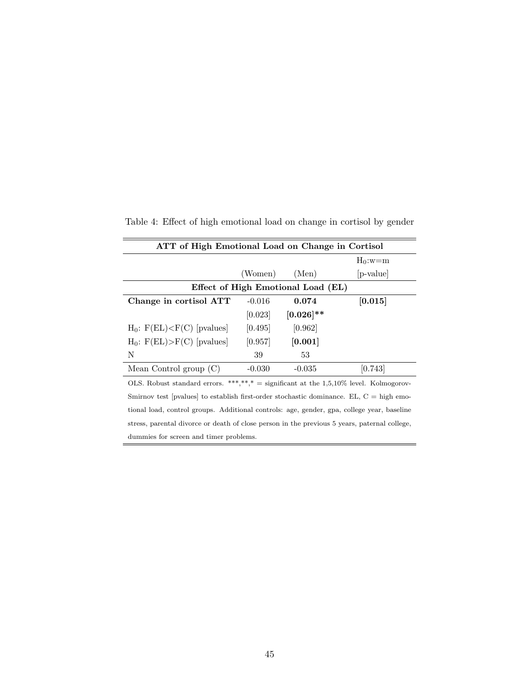| ATT of High Emotional Load on Change in Cortisol                                          |          |              |             |  |  |  |  |  |
|-------------------------------------------------------------------------------------------|----------|--------------|-------------|--|--|--|--|--|
|                                                                                           |          |              | $H_0: w=m$  |  |  |  |  |  |
|                                                                                           | (Women)  | (Men)        | $ p-value $ |  |  |  |  |  |
| Effect of High Emotional Load (EL)                                                        |          |              |             |  |  |  |  |  |
| Change in cortisol ATT                                                                    | $-0.016$ | 0.074        | [0.015]     |  |  |  |  |  |
|                                                                                           | [0.023]  | $[0.026]$ ** |             |  |  |  |  |  |
| $H_0$ : $F(EL) < F(C)$ [pvalues]                                                          | [0.495]  | [0.962]      |             |  |  |  |  |  |
| $H_0$ : $F(EL) > F(C)$ [pvalues]                                                          | [0.957]  | [0.001]      |             |  |  |  |  |  |
| N                                                                                         | 39       | 53           |             |  |  |  |  |  |
| Mean Control group $(C)$                                                                  | $-0.030$ | $-0.035$     | [0.743]     |  |  |  |  |  |
| OLS. Robust standard errors. ***,**,* = significant at the 1,5,10% level. Kolmogorov-     |          |              |             |  |  |  |  |  |
| Smirnov test [pvalues] to establish first-order stochastic dominance. $EL, C = high$ emo- |          |              |             |  |  |  |  |  |
|                                                                                           |          |              |             |  |  |  |  |  |

Table 4: Effect of high emotional load on change in cortisol by gender

tional load, control groups. Additional controls: age, gender, gpa, college year, baseline stress, parental divorce or death of close person in the previous 5 years, paternal college, dummies for screen and timer problems.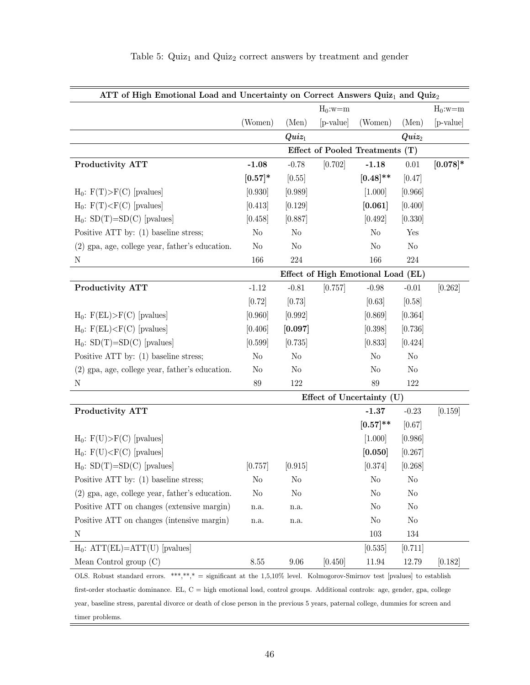| ATT of High Emotional Load and Uncertainty on Correct Answers Quiz <sub>1</sub> and Quiz <sub>2</sub>                              |                          |                   |             |                                    |                   |             |  |  |  |
|------------------------------------------------------------------------------------------------------------------------------------|--------------------------|-------------------|-------------|------------------------------------|-------------------|-------------|--|--|--|
|                                                                                                                                    | $H_0$ :w=m<br>$H_0$ :w=m |                   |             |                                    |                   |             |  |  |  |
|                                                                                                                                    | (Women)                  | (Men)             | $[p-value]$ | (Women)                            | (Men)             | [p-value]   |  |  |  |
|                                                                                                                                    |                          | $\mathit{Quiz}_1$ |             |                                    | $\mathbf{Q}uiz_2$ |             |  |  |  |
| <b>Effect of Pooled Treatments</b><br>(T)                                                                                          |                          |                   |             |                                    |                   |             |  |  |  |
| Productivity ATT                                                                                                                   | $-1.08$                  | $-0.78$           | [0.702]     | $-1.18$                            | $0.01\,$          | $[0.078]$ * |  |  |  |
|                                                                                                                                    | $[0.57]$ *               | [0.55]            |             | $[0.48]$ **                        | [0.47]            |             |  |  |  |
| $H_0$ : $F(T) > F(C)$ [pvalues]                                                                                                    | [0.930]                  | [0.989]           |             | [1.000]                            | [0.966]           |             |  |  |  |
| $H_0$ : $F(T) < F(C)$ [pvalues]                                                                                                    | [0.413]                  | [0.129]           |             | [0.061]                            | [0.400]           |             |  |  |  |
| $H_0$ : SD(T)=SD(C) [pvalues]                                                                                                      | [0.458]                  | [0.887]           |             | [0.492]                            | [0.330]           |             |  |  |  |
| Positive ATT by: (1) baseline stress;                                                                                              | No                       | No                |             | N <sub>o</sub>                     | Yes               |             |  |  |  |
| $(2)$ gpa, age, college year, father's education.                                                                                  | No                       | No                |             | No                                 | No                |             |  |  |  |
| $\rm N$                                                                                                                            | 166                      | $224\,$           |             | 166                                | $224\,$           |             |  |  |  |
|                                                                                                                                    |                          |                   |             | Effect of High Emotional Load (EL) |                   |             |  |  |  |
| Productivity ATT                                                                                                                   | $-1.12$                  | $-0.81$           | [0.757]     | $-0.98$                            | $-0.01$           | [0.262]     |  |  |  |
|                                                                                                                                    | [0.72]                   | [0.73]            |             | [0.63]                             | [0.58]            |             |  |  |  |
| $H_0$ : $F(EL) > F(C)$ [pvalues]                                                                                                   | [0.960]                  | [0.992]           |             | [0.869]                            | [0.364]           |             |  |  |  |
| $H_0$ : $F(EL) < F(C)$ [pvalues]                                                                                                   | [0.406]                  | [0.097]           |             | [0.398]                            | [0.736]           |             |  |  |  |
| $H_0$ : SD(T)=SD(C) [pvalues]                                                                                                      | [0.599]                  | [0.735]           |             | [0.833]                            | [0.424]           |             |  |  |  |
| Positive ATT by: $(1)$ baseline stress;                                                                                            | No                       | $\rm No$          |             | No                                 | $\rm No$          |             |  |  |  |
| $(2)$ gpa, age, college year, father's education.                                                                                  | No                       | No                |             | No                                 | No                |             |  |  |  |
| $\mathbf N$                                                                                                                        | 89                       | 122               |             | 89                                 | 122               |             |  |  |  |
|                                                                                                                                    |                          |                   |             | Effect of Uncertainty (U)          |                   |             |  |  |  |
| Productivity ATT                                                                                                                   |                          |                   |             | $-1.37$                            | $-0.23$           | [0.159]     |  |  |  |
|                                                                                                                                    |                          |                   |             | $[0.57]^{**}$                      | [0.67]            |             |  |  |  |
| $H_0$ : $F(U) > F(C)$ [pvalues]                                                                                                    |                          |                   |             | [1.000]                            | [0.986]           |             |  |  |  |
| $H_0$ : $F(U) < F(C)$ [pvalues]                                                                                                    |                          |                   |             | [0.050]                            | [0.267]           |             |  |  |  |
| $H_0$ : SD(T)=SD(C) [pvalues]                                                                                                      | [0.757]                  | [0.915]           |             | [0.374]                            | [0.268]           |             |  |  |  |
| Positive ATT by: $(1)$ baseline stress;                                                                                            | No                       | No                |             | No                                 | No                |             |  |  |  |
| (2) gpa, age, college year, father's education.                                                                                    | No                       | No                |             | No                                 | No                |             |  |  |  |
| Positive ATT on changes (extensive margin)                                                                                         | n.a.                     | n.a.              |             | No                                 | No                |             |  |  |  |
| Positive ATT on changes (intensive margin)                                                                                         | n.a.                     | n.a.              |             | No                                 | No                |             |  |  |  |
| Ν                                                                                                                                  |                          |                   |             | 103                                | 134               |             |  |  |  |
| $H_0$ : $ATT(EL)=ATT(U)$ [pvalues]                                                                                                 |                          |                   |             | [0.535]                            | 0.711             |             |  |  |  |
| Mean Control group $(C)$                                                                                                           | 8.55                     | 9.06              | [0.450]     | 11.94                              | 12.79             | [0.182]     |  |  |  |
| OLS. Robust standard errors. ***,**,* = significant at the $1,5,10\%$ level. Kolmogorov-Smirnov test [pvalues] to establish        |                          |                   |             |                                    |                   |             |  |  |  |
| first-order stochastic dominance. EL, $C =$ high emotional load, control groups. Additional controls: age, gender, gpa, college    |                          |                   |             |                                    |                   |             |  |  |  |
| year, baseline stress, parental divorce or death of close person in the previous 5 years, paternal college, dummies for screen and |                          |                   |             |                                    |                   |             |  |  |  |

# Table 5:  $\rm{Quiz}_1$  and  $\rm{Quiz}_2$  correct answers by treatment and gender

timer problems.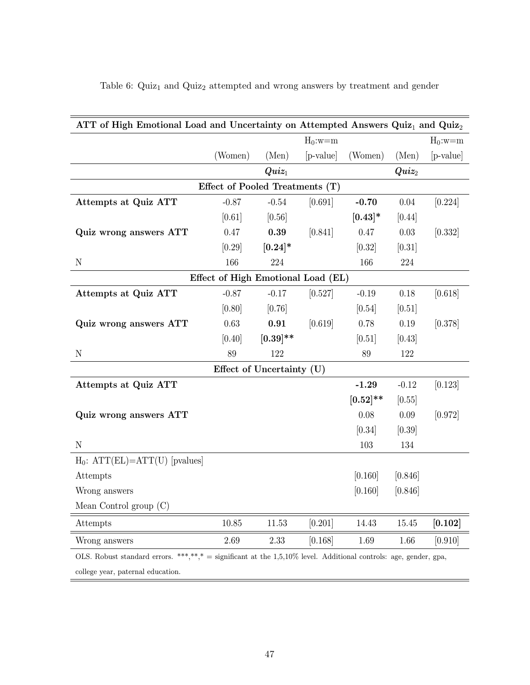| ATT of High Emotional Load and Uncertainty on Attempted Answers Quiz <sub>1</sub> and Quiz <sub>2</sub> |                                                                          |                           |            |             |                   |            |
|---------------------------------------------------------------------------------------------------------|--------------------------------------------------------------------------|---------------------------|------------|-------------|-------------------|------------|
|                                                                                                         |                                                                          |                           | $H_0$ :w=m |             |                   | $H_0$ :w=m |
|                                                                                                         | (Women)                                                                  | (Men)                     | [p-value]  | (Women)     | (Men)             | [p-value]  |
|                                                                                                         |                                                                          | $Quiz_1$                  |            |             | $\mathbf{Q}uiz_2$ |            |
|                                                                                                         | Effect of Pooled Treatments (T)                                          |                           |            |             |                   |            |
| Attempts at Quiz ATT                                                                                    | $-0.87$                                                                  | $-0.54$                   | [0.691]    | $-0.70$     | $0.04\,$          | [0.224]    |
|                                                                                                         | [0.61]                                                                   | [0.56]                    |            | $[0.43]*$   | [0.44]            |            |
| Quiz wrong answers ATT                                                                                  | 0.47                                                                     | 0.39                      | [0.841]    | 0.47        | 0.03              | [0.332]    |
|                                                                                                         | [0.29]                                                                   | $[0.24]*$                 |            | [0.32]      | [0.31]            |            |
| $\mathbf N$                                                                                             | 166                                                                      | 224                       |            | 166         | $224\,$           |            |
|                                                                                                         | Effect of High Emotional Load (EL)                                       |                           |            |             |                   |            |
| Attempts at Quiz ATT                                                                                    | $-0.87$                                                                  | $-0.17$                   | [0.527]    | $-0.19$     | $0.18\,$          | [0.618]    |
|                                                                                                         | [0.80]                                                                   | [0.76]                    |            | [0.54]      | $[0.51]$          |            |
| Quiz wrong answers ATT                                                                                  | 0.63                                                                     | 0.91                      | [0.619]    | 0.78        | 0.19              | [0.378]    |
|                                                                                                         | [0.40]                                                                   | $[0.39]$ **               |            | [0.51]      | [0.43]            |            |
| $\mathbf N$                                                                                             | 89                                                                       | 122                       |            | 89          | 122               |            |
|                                                                                                         |                                                                          | Effect of Uncertainty (U) |            |             |                   |            |
| Attempts at Quiz ATT                                                                                    |                                                                          |                           |            | $-1.29$     | $-0.12$           | [0.123]    |
|                                                                                                         |                                                                          |                           |            | $[0.52]$ ** | [0.55]            |            |
| Quiz wrong answers ATT                                                                                  |                                                                          |                           |            | 0.08        | $0.09\,$          | [0.972]    |
|                                                                                                         |                                                                          |                           |            | [0.34]      | [0.39]            |            |
| ${\bf N}$                                                                                               |                                                                          |                           |            | 103         | 134               |            |
| $H_0$ : $ATT(EL)=ATT(U)$ [pvalues]                                                                      |                                                                          |                           |            |             |                   |            |
| Attempts                                                                                                |                                                                          |                           |            | [0.160]     | [0.846]           |            |
| Wrong answers                                                                                           |                                                                          |                           |            | [0.160]     | [0.846]           |            |
| Mean Control group $(C)$                                                                                |                                                                          |                           |            |             |                   |            |
| Attempts                                                                                                | 10.85                                                                    | $11.53\,$                 | [0.201]    | 14.43       | $15.45\,$         | [0.102]    |
| Wrong answers                                                                                           | 2.69                                                                     | $2.33\,$                  | [0.168]    | 1.69        | 1.66              | [0.910]    |
| *** ** *<br>OLS Robust standard errors                                                                  | $-$ significant at the 1.5 10% level Additional controls: age gender gna |                           |            |             |                   |            |

Table 6:  $Quiz_1$  and  $Quiz_2$  attempted and wrong answers by treatment and gender

 $\alpha^*,\gamma^*,* =$  significant at the 1,5,10% level. Additional controls: age, gender, gpa,

college year, paternal education.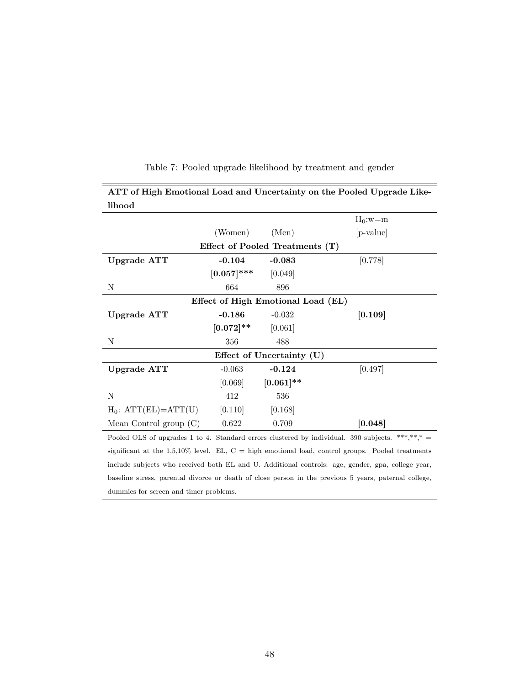| lihood                   |                                                                                                  |                           |           |  |  |  |  |  |  |
|--------------------------|--------------------------------------------------------------------------------------------------|---------------------------|-----------|--|--|--|--|--|--|
| $H_0$ :w=m               |                                                                                                  |                           |           |  |  |  |  |  |  |
|                          | (Women)                                                                                          | (Men)                     | [p-value] |  |  |  |  |  |  |
|                          | Effect of Pooled Treatments (T)                                                                  |                           |           |  |  |  |  |  |  |
| Upgrade ATT              | $-0.104$                                                                                         | $-0.083$                  | [0.778]   |  |  |  |  |  |  |
|                          | $[0.057]$ ***                                                                                    | [0.049]                   |           |  |  |  |  |  |  |
| Ν                        | 664                                                                                              | 896                       |           |  |  |  |  |  |  |
|                          | Effect of High Emotional Load (EL)                                                               |                           |           |  |  |  |  |  |  |
| Upgrade ATT              | $-0.186$                                                                                         | $-0.032$                  | [0.109]   |  |  |  |  |  |  |
|                          | $[0.072]^{**}$                                                                                   | [0.061]                   |           |  |  |  |  |  |  |
| N                        | 356                                                                                              | 488                       |           |  |  |  |  |  |  |
|                          |                                                                                                  | Effect of Uncertainty (U) |           |  |  |  |  |  |  |
| Upgrade ATT              | $-0.063$                                                                                         | $-0.124$                  | [0.497]   |  |  |  |  |  |  |
|                          | [0.069]                                                                                          | $[0.061]$ **              |           |  |  |  |  |  |  |
| N                        | 412                                                                                              | 536                       |           |  |  |  |  |  |  |
| $H_0$ : $ATT(EL)=ATT(U)$ | [0.110]                                                                                          | [0.168]                   |           |  |  |  |  |  |  |
| Mean Control group $(C)$ | 0.622                                                                                            | 0.709                     | [0.048]   |  |  |  |  |  |  |
|                          | Pooled OLS of upgrades 1 to 4. Standard errors clustered by individual. 390 subjects. ***,**,* = |                           |           |  |  |  |  |  |  |
|                          |                                                                                                  |                           |           |  |  |  |  |  |  |

# Table 7: Pooled upgrade likelihood by treatment and gender

ATT of High Emotional Load and Uncertainty on the Pooled Upgrade Like-

significant at the 1,5,10% level. EL,  $C =$  high emotional load, control groups. Pooled treatments include subjects who received both EL and U. Additional controls: age, gender, gpa, college year, baseline stress, parental divorce or death of close person in the previous 5 years, paternal college, dummies for screen and timer problems.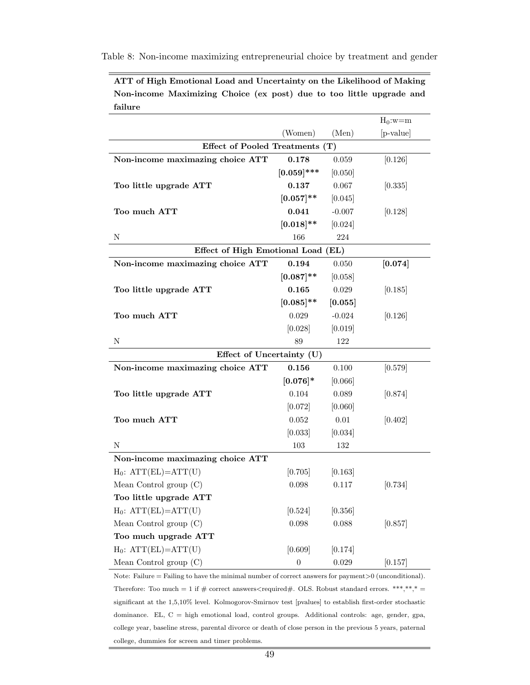Table 8: Non-income maximizing entrepreneurial choice by treatment and gender

| failure                            |                  |          |             |
|------------------------------------|------------------|----------|-------------|
|                                    |                  |          | $H_0$ :w=m  |
|                                    | (Women)          | (Men)    | $[p-value]$ |
| Effect of Pooled Treatments (T)    |                  |          |             |
| Non-income maximazing choice ATT   | 0.178            | 0.059    | [0.126]     |
|                                    | $[0.059]$ ***    | [0.050]  |             |
| Too little upgrade ATT             | 0.137            | 0.067    | 0.335       |
|                                    | $[0.057]$ **     | [0.045]  |             |
| Too much ATT                       | 0.041            | $-0.007$ | [0.128]     |
|                                    | $[0.018]$ **     | [0.024]  |             |
| Ν                                  | 166              | 224      |             |
| Effect of High Emotional Load (EL) |                  |          |             |
| Non-income maximazing choice ATT   | 0.194            | 0.050    | [0.074]     |
|                                    | $[0.087]$ **     | 0.058    |             |
| Too little upgrade ATT             | 0.165            | 0.029    | [0.185]     |
|                                    | $[0.085]$ **     | [0.055]  |             |
| Too much ATT                       | 0.029            | $-0.024$ | [0.126]     |
|                                    | [0.028]          | [0.019]  |             |
| Ν                                  | 89               | 122      |             |
| Effect of Uncertainty (U)          |                  |          |             |
| Non-income maximazing choice ATT   | 0.156            | 0.100    | [0.579]     |
|                                    | $[0.076]$ *      | 0.066    |             |
| Too little upgrade ATT             | 0.104            | 0.089    | [0.874]     |
|                                    | [0.072]          | [0.060]  |             |
| Too much ATT                       | 0.052            | $0.01\,$ | [0.402]     |
|                                    | [0.033]          | [0.034]  |             |
| N                                  | 103              | 132      |             |
| Non-income maximazing choice ATT   |                  |          |             |
| $H_0$ : $ATT(EL)=ATT(U)$           | [0.705]          | [0.163]  |             |
| Mean Control group $(C)$           | 0.098            | 0.117    | [0.734]     |
| Too little upgrade ATT             |                  |          |             |
| $H_0$ : $ATT(EL)=ATT(U)$           | [0.524]          | [0.356]  |             |
| Mean Control group $(C)$           | 0.098            | 0.088    | [0.857]     |
| Too much upgrade ATT               |                  |          |             |
| $H_0$ : $ATT(EL)=ATT(U)$           | [0.609]          | [0.174]  |             |
| Mean Control group $(C)$           | $\boldsymbol{0}$ | 0.029    | [0.157]     |

ATT of High Emotional Load and Uncertainty on the Likelihood of Making Non-income Maximizing Choice (ex post) due to too little upgrade and  $f_0$ :1.

Note: Failure = Failing to have the minimal number of correct answers for payment $>0$  (unconditional). Therefore: Too much = 1 if  $\#$  correct answers<required $\#$ . OLS. Robust standard errors. \*\*\*,\*\*,\* = significant at the 1,5,10% level. Kolmogorov-Smirnov test [pvalues] to establish first-order stochastic dominance. EL, C = high emotional load, control groups. Additional controls: age, gender, gpa, college year, baseline stress, parental divorce or death of close person in the previous 5 years, paternal college, dummies for screen and timer problems.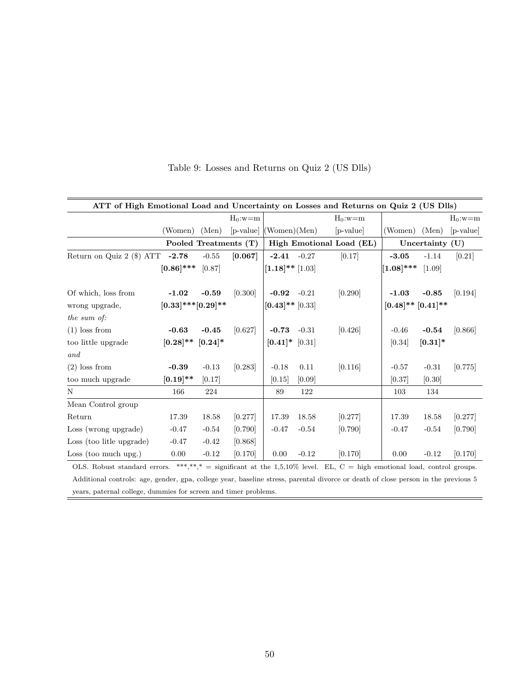|                                                                                                                                                                                                                                                                                                                                                                                                                              | ATT of High Emotional Load and Uncertainty on Losses and Returns on Quiz 2 (US Dlls) |                       |                          |                      |         |                          |                             |                   |            |
|------------------------------------------------------------------------------------------------------------------------------------------------------------------------------------------------------------------------------------------------------------------------------------------------------------------------------------------------------------------------------------------------------------------------------|--------------------------------------------------------------------------------------|-----------------------|--------------------------|----------------------|---------|--------------------------|-----------------------------|-------------------|------------|
|                                                                                                                                                                                                                                                                                                                                                                                                                              |                                                                                      |                       | $H_0$ :w=m               |                      |         | $H_0$ :w=m               |                             |                   | $H_0$ :w=m |
|                                                                                                                                                                                                                                                                                                                                                                                                                              | (Women) (Men)                                                                        |                       | $[p-value]$ (Women)(Men) |                      |         | $[p-value]$              | (Women) (Men)               |                   | p-value    |
|                                                                                                                                                                                                                                                                                                                                                                                                                              |                                                                                      | Pooled Treatments (T) |                          |                      |         | High Emotional Load (EL) |                             | Uncertainty $(U)$ |            |
| Return on Quiz 2 $(\$)$ ATT -2.78                                                                                                                                                                                                                                                                                                                                                                                            |                                                                                      | $-0.55$               | [0.067]                  | $-2.41 - 0.27$       |         | [0.17]                   | $-3.05$                     | $-1.14$           | [0.21]     |
|                                                                                                                                                                                                                                                                                                                                                                                                                              | $[0.86]$ *** $[0.87]$                                                                |                       |                          | $[1.18]$ ** $[1.03]$ |         |                          | $[1.08]$ ***                | [1.09]            |            |
| Of which, loss from                                                                                                                                                                                                                                                                                                                                                                                                          | $-1.02$                                                                              | $-0.59$               | [0.300]                  | $-0.92 - 0.21$       |         | [0.290]                  | $-1.03$                     | $-0.85$           | [0.194]    |
| wrong upgrade,                                                                                                                                                                                                                                                                                                                                                                                                               | $[0.33]$ *** $[0.29]$ **                                                             |                       |                          | $[0.43]$ ** $[0.33]$ |         |                          | $[0.48]^{**}$ $[0.41]^{**}$ |                   |            |
| the sum of:                                                                                                                                                                                                                                                                                                                                                                                                                  |                                                                                      |                       |                          |                      |         |                          |                             |                   |            |
| $(1)$ loss from                                                                                                                                                                                                                                                                                                                                                                                                              | $-0.63$                                                                              | $-0.45$               | [0.627]                  | $-0.73 - 0.31$       |         | [0.426]                  | $-0.46$                     | $-0.54$           | [0.866]    |
| too little upgrade                                                                                                                                                                                                                                                                                                                                                                                                           | $[0.28]^{**}$ $[0.24]^{*}$                                                           |                       |                          | $[0.41]$ * $[0.31]$  |         |                          | [0.34]                      | $[0.31]*$         |            |
| and                                                                                                                                                                                                                                                                                                                                                                                                                          |                                                                                      |                       |                          |                      |         |                          |                             |                   |            |
| $(2)$ loss from                                                                                                                                                                                                                                                                                                                                                                                                              | $-0.39$                                                                              | $-0.13$               | [0.283]                  | $-0.18$              | 0.11    | [0.116]                  | $-0.57$                     | $-0.31$           | [0.775]    |
| too much upgrade                                                                                                                                                                                                                                                                                                                                                                                                             | $[0.19]$ **                                                                          | [0.17]                |                          | [0.15]               | [0.09]  |                          | [0.37]                      | [0.30]            |            |
| N                                                                                                                                                                                                                                                                                                                                                                                                                            | 166                                                                                  | 224                   |                          | 89                   | 122     |                          | 103                         | 134               |            |
| Mean Control group                                                                                                                                                                                                                                                                                                                                                                                                           |                                                                                      |                       |                          |                      |         |                          |                             |                   |            |
| Return                                                                                                                                                                                                                                                                                                                                                                                                                       | 17.39                                                                                | 18.58                 | [0.277]                  | 17.39                | 18.58   | [0.277]                  | 17.39                       | 18.58             | [0.277]    |
| Loss (wrong upgrade)                                                                                                                                                                                                                                                                                                                                                                                                         | $-0.47$                                                                              | $-0.54$               | [0.790]                  | $-0.47$              | $-0.54$ | [0.790]                  | $-0.47$                     | $-0.54$           | [0.790]    |
| Loss (too litle upgrade)                                                                                                                                                                                                                                                                                                                                                                                                     | $-0.47$                                                                              | $-0.42$               | [0.868]                  |                      |         |                          |                             |                   |            |
| Loss (too much upg.)                                                                                                                                                                                                                                                                                                                                                                                                         | 0.00                                                                                 | $-0.12$               | [0.170]                  | 0.00                 | $-0.12$ | [0.170]                  | 0.00                        | $-0.12$           | [0.170]    |
| OLS. Robust standard errors. ***,**,* = significant at the 1,5,10% level. EL, C = high emotional load, control groups.                                                                                                                                                                                                                                                                                                       |                                                                                      |                       |                          |                      |         |                          |                             |                   |            |
| $\mathbf{A} = \mathbf{A} + \mathbf{B} + \mathbf{A} + \mathbf{B} + \mathbf{B} + \mathbf{B} + \mathbf{B} + \mathbf{B} + \mathbf{B} + \mathbf{B} + \mathbf{B} + \mathbf{B} + \mathbf{B} + \mathbf{B} + \mathbf{B} + \mathbf{B} + \mathbf{B} + \mathbf{B} + \mathbf{B} + \mathbf{B} + \mathbf{B} + \mathbf{B} + \mathbf{B} + \mathbf{B} + \mathbf{B} + \mathbf{B} + \mathbf{B} + \mathbf{B} + \mathbf{B} + \mathbf{B} + \mathbf$ |                                                                                      |                       |                          |                      |         |                          |                             |                   |            |

Table 9: Losses and Returns on Quiz 2 (US Dlls)

Additional controls: age, gender, gpa, college year, baseline stress, parental divorce or death of close person in the previous 5 years, paternal college, dummies for screen and timer problems.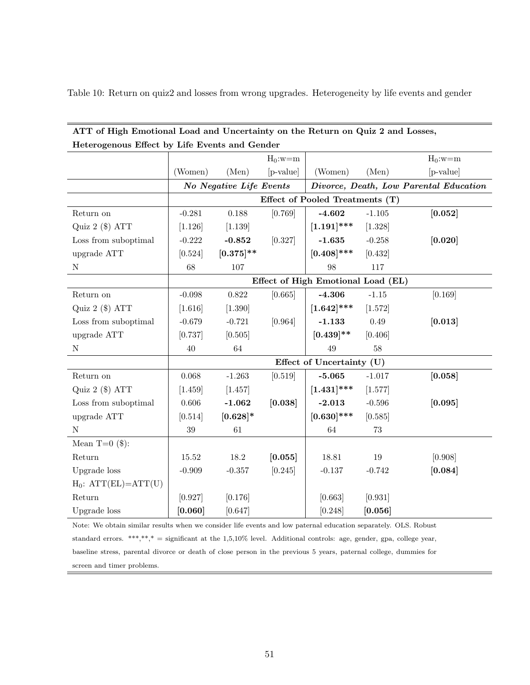| Table 10: Return on quiz2 and losses from wrong upgrades. Heterogeneity by life events and gender |  |  |  |
|---------------------------------------------------------------------------------------------------|--|--|--|
|---------------------------------------------------------------------------------------------------|--|--|--|

| Heterogenous Effect by Life Events and Gender |           |                         |            |                                    |          |                                        |
|-----------------------------------------------|-----------|-------------------------|------------|------------------------------------|----------|----------------------------------------|
|                                               |           |                         | $H_0$ :w=m |                                    |          | $H_0$ :w=m                             |
|                                               | (Women)   | (Men)                   | [p-value]  | (Women)                            | (Men)    | [p-value]                              |
|                                               |           | No Negative Life Events |            |                                    |          | Divorce, Death, Low Parental Education |
|                                               |           |                         |            | Effect of Pooled Treatments (T)    |          |                                        |
| Return on                                     | $-0.281$  | 0.188                   | [0.769]    | $-4.602$                           | $-1.105$ | [0.052]                                |
| Quiz $2$ (\$) ATT                             | [1.126]   | [1.139]                 |            | $[1.191]$ ***                      | [1.328]  |                                        |
| Loss from suboptimal                          | $-0.222$  | $-0.852$                | [0.327]    | $-1.635$                           | $-0.258$ | [0.020]                                |
| upgrade ATT                                   | [0.524]   | $[0.375]$ **            |            | $[0.408]$ ***                      | [0.432]  |                                        |
| N                                             | 68        | 107                     |            | 98                                 | 117      |                                        |
|                                               |           |                         |            | Effect of High Emotional Load (EL) |          |                                        |
| Return on                                     | $-0.098$  | 0.822                   | [0.665]    | $-4.306$                           | $-1.15$  | [0.169]                                |
| Quiz $2$ ( $\text{\$}$ ) ATT                  | [1.616]   | [1.390]                 |            | $[1.642]$ ***                      | [1.572]  |                                        |
| Loss from suboptimal                          | $-0.679$  | $-0.721$                | [0.964]    | $-1.133$                           | 0.49     | [0.013]                                |
| upgrade ATT                                   | [0.737]   | [0.505]                 |            | $[0.439]$ **                       | [0.406]  |                                        |
| $\mathbf N$                                   | 40        | 64                      |            | 49                                 | 58       |                                        |
|                                               |           |                         |            | Effect of Uncertainty (U)          |          |                                        |
| Return on                                     | 0.068     | $-1.263$                | [0.519]    | $-5.065$                           | $-1.017$ | [0.058]                                |
| Quiz $2$ (\$) ATT                             | [1.459]   | [1.457]                 |            | $[1.431]$ ***                      | [1.577]  |                                        |
| Loss from suboptimal                          | 0.606     | $-1.062$                | [0.038]    | $-2.013$                           | $-0.596$ | [0.095]                                |
| upgrade ATT                                   | [0.514]   | $[0.628]$ *             |            | $[0.630]$ ***                      | [0.585]  |                                        |
| $\mathbf N$                                   | 39        | 61                      |            | 64                                 | 73       |                                        |
| Mean $T=0$ (\$):                              |           |                         |            |                                    |          |                                        |
| Return                                        | $15.52\,$ | $18.2\,$                | [0.055]    | 18.81                              | $19\,$   | [0.908]                                |
| Upgrade loss                                  | $-0.909$  | $-0.357$                | [0.245]    | $-0.137$                           | $-0.742$ | [0.084]                                |
| $H_0$ : $ATT(EL)=ATT(U)$                      |           |                         |            |                                    |          |                                        |
| Return                                        | [0.927]   | [0.176]                 |            | [0.663]                            | [0.931]  |                                        |
| Upgrade loss                                  | [0.060]   | [0.647]                 |            | [0.248]                            | [0.056]  |                                        |

ATT of High Emotional Load and Uncertainty on the Return on Quiz 2 and Losses,

Note: We obtain similar results when we consider life events and low paternal education separately. OLS. Robust standard errors. \*\*\*,\*\*,\* = significant at the  $1,5,10\%$  level. Additional controls: age, gender, gpa, college year, baseline stress, parental divorce or death of close person in the previous 5 years, paternal college, dummies for screen and timer problems.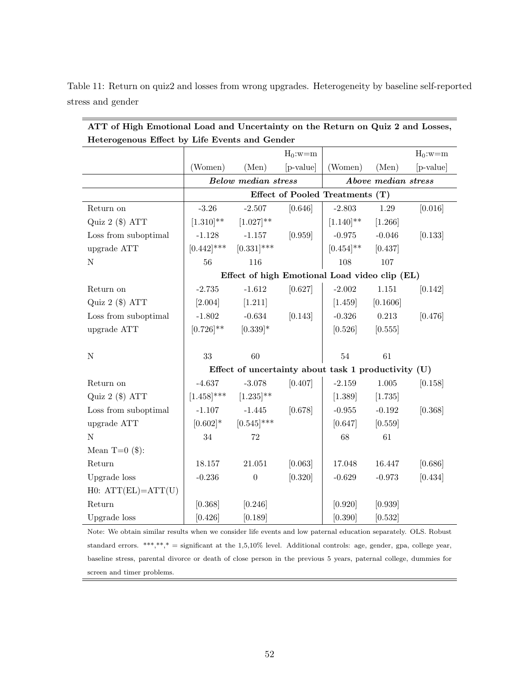| Heterogenous Effect by Life Events and Gender |                |                                                     |            |                                 |                     |            |  |  |  |
|-----------------------------------------------|----------------|-----------------------------------------------------|------------|---------------------------------|---------------------|------------|--|--|--|
|                                               |                |                                                     | $H_0$ :w=m |                                 |                     | $H_0$ :w=m |  |  |  |
|                                               | (Women)        | (Men)                                               | [p-value]  | (Women)                         | (Men)               | [p-value]  |  |  |  |
|                                               |                | <b>Below median stress</b>                          |            |                                 | Above median stress |            |  |  |  |
|                                               |                |                                                     |            | Effect of Pooled Treatments (T) |                     |            |  |  |  |
| Return on                                     | $-3.26$        | $-2.507$                                            | [0.646]    | $-2.803$                        | 1.29                | [0.016]    |  |  |  |
| Quiz 2 (\$) ATT                               | $[1.310]$ **   | $[1.027]$ **                                        |            | $[1.140]$ **                    | [1.266]             |            |  |  |  |
| Loss from suboptimal                          | $-1.128$       | $-1.157$                                            | [0.959]    | $-0.975$                        | $-0.046$            | [0.133]    |  |  |  |
| upgrade ATT                                   | $[0.442]$ ***  | $[0.331]$ ***                                       |            | $[0.454]^{**}$                  | [0.437]             |            |  |  |  |
| ${\bf N}$                                     | 56             | 116                                                 |            | 108                             | 107                 |            |  |  |  |
|                                               |                | Effect of high Emotional Load video clip (EL)       |            |                                 |                     |            |  |  |  |
| Return on                                     | $-2.735$       | $-1.612$                                            | [0.627]    | $-2.002$                        | $1.151\,$           | [0.142]    |  |  |  |
| Quiz 2 (\$) ATT                               | [2.004]        | [1.211]                                             |            | [1.459]                         | [0.1606]            |            |  |  |  |
| Loss from suboptimal                          | $-1.802$       | $-0.634$                                            | [0.143]    | $-0.326$                        | 0.213               | [0.476]    |  |  |  |
| upgrade ATT                                   | $[0.726]^{**}$ | $[0.339]$ *                                         |            | [0.526]                         | [0.555]             |            |  |  |  |
|                                               |                |                                                     |            |                                 |                     |            |  |  |  |
| ${\bf N}$                                     | 33             | 60                                                  |            | $54\,$                          | 61                  |            |  |  |  |
|                                               |                | Effect of uncertainty about task 1 productivity (U) |            |                                 |                     |            |  |  |  |
| Return on                                     | $-4.637$       | $-3.078$                                            | [0.407]    | $-2.159$                        | 1.005               | [0.158]    |  |  |  |
| Quiz 2 (\$) ATT                               | $[1.458]$ ***  | $[1.235]^{**}$                                      |            | [1.389]                         | [1.735]             |            |  |  |  |
| Loss from suboptimal                          | $-1.107$       | $-1.445$                                            | [0.678]    | $-0.955$                        | $-0.192$            | [0.368]    |  |  |  |
| upgrade ATT                                   | $[0.602]*$     | $[0.545]$ ***                                       |            | [0.647]                         | [0.559]             |            |  |  |  |
| ${\bf N}$                                     | $34\,$         | $72\,$                                              |            | 68                              | 61                  |            |  |  |  |
| Mean $T=0$ (\$):                              |                |                                                     |            |                                 |                     |            |  |  |  |
| Return                                        | 18.157         | 21.051                                              | [0.063]    | 17.048                          | 16.447              | [0.686]    |  |  |  |
| Upgrade loss                                  | $-0.236$       | $\boldsymbol{0}$                                    | [0.320]    | $-0.629$                        | $-0.973$            | [0.434]    |  |  |  |
| $H0: ATT(EL)=ATT(U)$                          |                |                                                     |            |                                 |                     |            |  |  |  |
| Return                                        | [0.368]        | [0.246]                                             |            | [0.920]                         | [0.939]             |            |  |  |  |
| Upgrade loss                                  | [0.426]        | [0.189]                                             |            | [0.390]                         | [0.532]             |            |  |  |  |

stress and gender

ATT of High Emotional Load and Uncertainty on the Return on Quiz 2 and Losses,

Table 11: Return on quiz2 and losses from wrong upgrades. Heterogeneity by baseline self-reported

Note: We obtain similar results when we consider life events and low paternal education separately. OLS. Robust standard errors. \*\*\*,\*\*,\* = significant at the 1,5,10% level. Additional controls: age, gender, gpa, college year, baseline stress, parental divorce or death of close person in the previous 5 years, paternal college, dummies for screen and timer problems.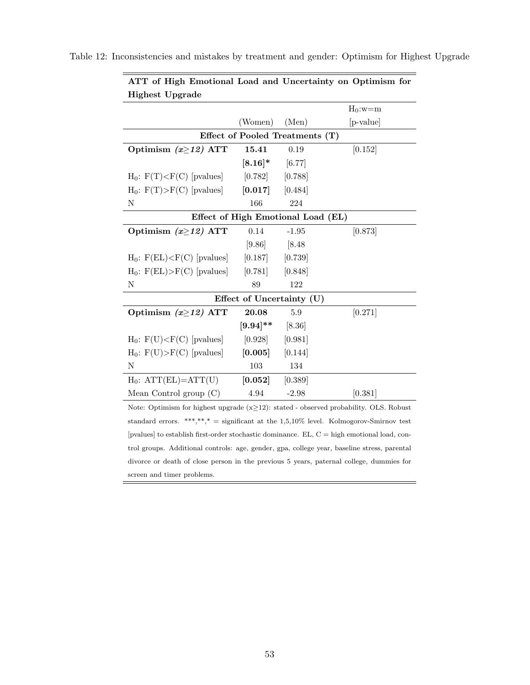| <b>Highest Upgrade</b>           |                                    |         |            |  |  |  |  |  |  |
|----------------------------------|------------------------------------|---------|------------|--|--|--|--|--|--|
|                                  |                                    |         | $H_0$ :w=m |  |  |  |  |  |  |
|                                  | (Women)                            | (Men)   | [p-value]  |  |  |  |  |  |  |
| Effect of Pooled Treatments (T)  |                                    |         |            |  |  |  |  |  |  |
| Optimism $(x\geq 12)$ ATT        | 15.41                              | 0.19    | [0.152]    |  |  |  |  |  |  |
|                                  | $[8.16]$ * [6.77]                  |         |            |  |  |  |  |  |  |
| $H_0$ : $F(T) < F(C)$ [pvalues]  | $[0.782]$ $[0.788]$                |         |            |  |  |  |  |  |  |
| $H_0$ : $F(T) > F(C)$ [pvalues]  | $[0.017]$ $[0.484]$                |         |            |  |  |  |  |  |  |
| N                                | 166                                | 224     |            |  |  |  |  |  |  |
|                                  | Effect of High Emotional Load (EL) |         |            |  |  |  |  |  |  |
| Optimism $(x\geq 12)$ ATT        | 0.14                               | $-1.95$ | [0.873]    |  |  |  |  |  |  |
|                                  | [9.86]                             | $[8.48$ |            |  |  |  |  |  |  |
| $H_0$ : $F(EL) < F(C)$ [pvalues] | $[0.187]$ $[0.739]$                |         |            |  |  |  |  |  |  |
| $H_0$ : $F(EL) > F(C)$ [pvalues] | $[0.781]$ $[0.848]$                |         |            |  |  |  |  |  |  |
| Ν                                | 89                                 | 122     |            |  |  |  |  |  |  |
|                                  | Effect of Uncertainty (U)          |         |            |  |  |  |  |  |  |
| Optimism $(x\geq 12)$ ATT        | 20.08                              | 5.9     | [0.271]    |  |  |  |  |  |  |
|                                  | $[9.94]$ ** [8.36]                 |         |            |  |  |  |  |  |  |
| $H_0$ : $F(U) < F(C)$ [pvalues]  | $[0.928]$ $[0.981]$                |         |            |  |  |  |  |  |  |
| $H_0$ : $F(U) > F(C)$ [pvalues]  | $[0.005]$ $[0.144]$                |         |            |  |  |  |  |  |  |
| N                                | 103                                | 134     |            |  |  |  |  |  |  |
| $H_0$ : $ATT(EL)=ATT(U)$         | $[0.052]$ $[0.389]$                |         |            |  |  |  |  |  |  |
| Mean Control group $(C)$         | 4.94                               | $-2.98$ | [0.381]    |  |  |  |  |  |  |
|                                  |                                    |         |            |  |  |  |  |  |  |

Table 12: Inconsistencies and mistakes by treatment and gender: Optimism for Highest Upgrade

ATT of High Emotional Load and Uncertainty on Optimism for

Note: Optimism for highest upgrade (x≥12): stated - observed probability. OLS. Robust standard errors. \*\*\*,\*\*,\* = significant at the  $1,5,10\%$  level. Kolmogorov-Smirnov test [pvalues] to establish first-order stochastic dominance. EL,  $C =$  high emotional load, control groups. Additional controls: age, gender, gpa, college year, baseline stress, parental divorce or death of close person in the previous 5 years, paternal college, dummies for screen and timer problems.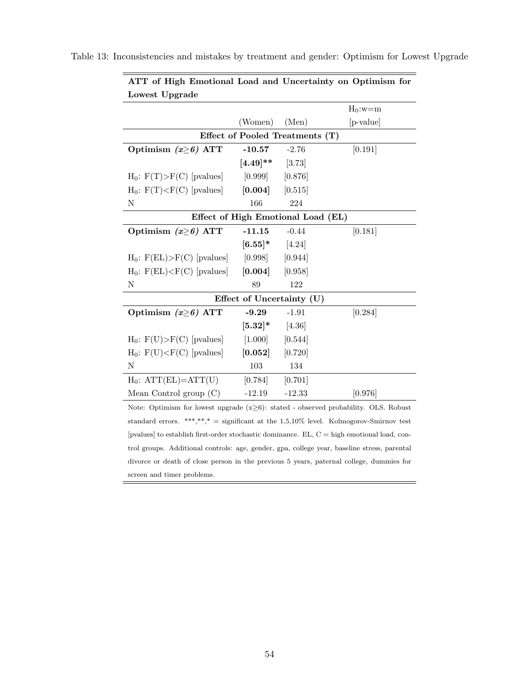| Lowest Upgrade                                                                             |                                    |          |            |  |  |  |  |  |
|--------------------------------------------------------------------------------------------|------------------------------------|----------|------------|--|--|--|--|--|
|                                                                                            |                                    |          | $H_0$ :w=m |  |  |  |  |  |
|                                                                                            | (Women)                            | (Men)    | [p-value]  |  |  |  |  |  |
| Effect of Pooled Treatments (T)                                                            |                                    |          |            |  |  |  |  |  |
| Optimism $(x\geq 6)$ ATT                                                                   | $-10.57$                           | $-2.76$  | [0.191]    |  |  |  |  |  |
|                                                                                            | $[4.49]$ ** [3.73]                 |          |            |  |  |  |  |  |
| $H_0$ : $F(T) > F(C)$ [pvalues]                                                            | $[0.999]$ $[0.876]$                |          |            |  |  |  |  |  |
| $H_0$ : $F(T) < F(C)$ [pvalues]                                                            | $[0.004]$ $[0.515]$                |          |            |  |  |  |  |  |
| Ν                                                                                          | 166                                | 224      |            |  |  |  |  |  |
|                                                                                            | Effect of High Emotional Load (EL) |          |            |  |  |  |  |  |
| Optimism $(x\geq 6)$ ATT                                                                   | $-11.15$                           | $-0.44$  | [0.181]    |  |  |  |  |  |
|                                                                                            | $[6.55]$ * $[4.24]$                |          |            |  |  |  |  |  |
| $H_0$ : $F(EL) > F(C)$ [pvalues]                                                           | $[0.998]$ $[0.944]$                |          |            |  |  |  |  |  |
| $H_0$ : $F(EL) < F(C)$ [pvalues]                                                           | $[0.004]$ $[0.958]$                |          |            |  |  |  |  |  |
| Ν                                                                                          | 89                                 | 122      |            |  |  |  |  |  |
| Effect of Uncertainty (U)                                                                  |                                    |          |            |  |  |  |  |  |
| Optimism $(x\geq 6)$ ATT                                                                   | $-9.29$                            | $-1.91$  | [0.284]    |  |  |  |  |  |
|                                                                                            | $[5.32]$ * $[4.36]$                |          |            |  |  |  |  |  |
| $H_0$ : $F(U) > F(C)$ [pvalues]                                                            | $[1.000]$ $[0.544]$                |          |            |  |  |  |  |  |
| $H_0$ : $F(U) < F(C)$ [pvalues]                                                            | $[0.052]$ $[0.720]$                |          |            |  |  |  |  |  |
| N                                                                                          | 103                                | 134      |            |  |  |  |  |  |
| $H_0$ : $ATT(EL)=ATT(U)$                                                                   | [0.784]                            | [0.701]  |            |  |  |  |  |  |
| Mean Control group $(C)$                                                                   | $-12.19$                           | $-12.33$ | [0.976]    |  |  |  |  |  |
| Note: Optimism for lowest upgrade $(x\geq 6)$ : stated - observed probability. OLS, Robust |                                    |          |            |  |  |  |  |  |

Table 13: Inconsistencies and mistakes by treatment and gender: Optimism for Lowest Upgrade

ATT of High Emotional Load and Uncertainty on Optimism for

Note: Optimism for lowest upgrade (x≥6): stated - observed probability. OLS. Robust standard errors. \*\*\*,\*\*,\* = significant at the  $1,5,10\%$  level. Kolmogorov-Smirnov test [pvalues] to establish first-order stochastic dominance. EL,  $C =$  high emotional load, control groups. Additional controls: age, gender, gpa, college year, baseline stress, parental divorce or death of close person in the previous 5 years, paternal college, dummies for screen and timer problems.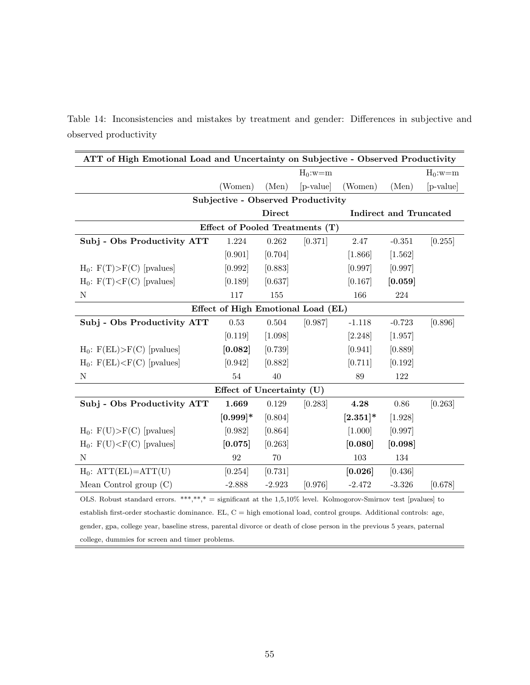|  | Table 14: Inconsistencies and mistakes by treatment and gender: Differences in subjective and |  |  |  |  |  |
|--|-----------------------------------------------------------------------------------------------|--|--|--|--|--|
|  | observed productivity                                                                         |  |  |  |  |  |

| ATT of High Emotional Load and Uncertainty on Subjective - Observed Productivity                                        |                                           |               |            |             |                               |            |  |  |
|-------------------------------------------------------------------------------------------------------------------------|-------------------------------------------|---------------|------------|-------------|-------------------------------|------------|--|--|
|                                                                                                                         |                                           |               | $H_0$ :w=m |             |                               | $H_0$ :w=m |  |  |
|                                                                                                                         | (Women)                                   | (Men)         | [p-value]  | (Women)     | (Men)                         | [p-value]  |  |  |
|                                                                                                                         | <b>Subjective - Observed Productivity</b> |               |            |             |                               |            |  |  |
|                                                                                                                         |                                           | <b>Direct</b> |            |             | <b>Indirect and Truncated</b> |            |  |  |
| Effect of Pooled Treatments (T)                                                                                         |                                           |               |            |             |                               |            |  |  |
| Subj - Obs Productivity ATT                                                                                             | 1.224                                     | 0.262         | [0.371]    | 2.47        | $-0.351$                      | [0.255]    |  |  |
|                                                                                                                         | [0.901]                                   | [0.704]       |            | [1.866]     | [1.562]                       |            |  |  |
| $H_0$ : $F(T) > F(C)$ [pvalues]                                                                                         | [0.992]                                   | [0.883]       |            | [0.997]     | [0.997]                       |            |  |  |
| $H_0$ : $F(T) [pvalues]$                                                                                                | [0.189]                                   | [0.637]       |            | [0.167]     | [0.059]                       |            |  |  |
| N                                                                                                                       | 117                                       | 155           |            | 166         | 224                           |            |  |  |
|                                                                                                                         | Effect of High Emotional Load (EL)        |               |            |             |                               |            |  |  |
| Subj - Obs Productivity ATT                                                                                             | 0.53                                      | 0.504         | [0.987]    | $-1.118$    | $-0.723$                      | [0.896]    |  |  |
|                                                                                                                         | [0.119]                                   | [1.098]       |            | [2.248]     | [1.957]                       |            |  |  |
| $H_0$ : $F(EL) > F(C)$ [pvalues]                                                                                        | [0.082]                                   | [0.739]       |            | [0.941]     | [0.889]                       |            |  |  |
| $H_0$ : $F(EL) < F(C)$ [pvalues]                                                                                        | [0.942]                                   | [0.882]       |            | [0.711]     | [0.192]                       |            |  |  |
| N                                                                                                                       | 54                                        | 40            |            | 89          | 122                           |            |  |  |
|                                                                                                                         | Effect of Uncertainty (U)                 |               |            |             |                               |            |  |  |
| Subj - Obs Productivity ATT                                                                                             | 1.669                                     | 0.129         | [0.283]    | 4.28        | 0.86                          | [0.263]    |  |  |
|                                                                                                                         | $[0.999]$ *                               | [0.804]       |            | $[2.351]$ * | [1.928]                       |            |  |  |
| $H_0$ : $F(U) > F(C)$ [pvalues]                                                                                         | [0.982]                                   | [0.864]       |            | [1.000]     | [0.997]                       |            |  |  |
| $H_0$ : $F(U) < F(C)$ [pvalues]                                                                                         | [0.075]                                   | [0.263]       |            | [0.080]     | [0.098]                       |            |  |  |
| ${\bf N}$                                                                                                               | 92                                        | 70            |            | 103         | 134                           |            |  |  |
| $H_0$ : $ATT(EL) = ATT(U)$                                                                                              | [0.254]                                   | [0.731]       |            | [0.026]     | [0.436]                       |            |  |  |
| Mean Control group $(C)$                                                                                                | $-2.888$                                  | $-2.923$      | [0.976]    | $-2.472$    | $-3.326$                      | [0.678]    |  |  |
| OLS. Robust standard errors. ***,**,* = significant at the $1,5,10\%$ level. Kolmogorov-Smirnov test [pvalues] to       |                                           |               |            |             |                               |            |  |  |
| establish first-order stochastic dominance. EL, $C =$ high emotional load, control groups. Additional controls: age,    |                                           |               |            |             |                               |            |  |  |
| gender, gpa, college year, baseline stress, parental divorce or death of close person in the previous 5 years, paternal |                                           |               |            |             |                               |            |  |  |

college, dummies for screen and timer problems.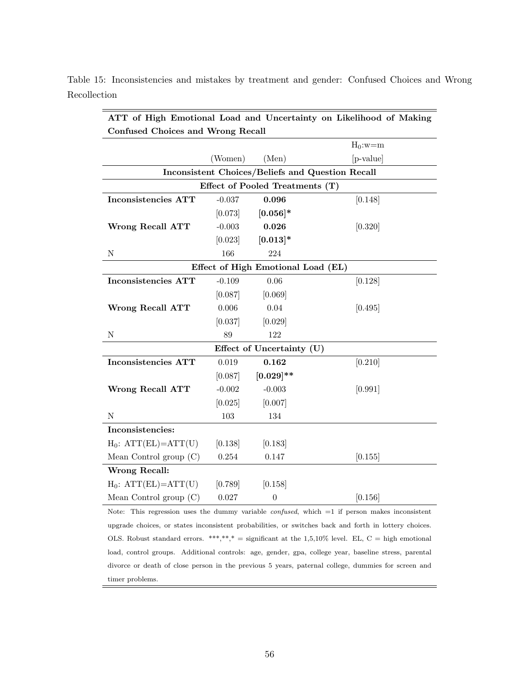| ATT of High Emotional Load and Uncertainty on Likelihood of Making |          |                                    |            |  |  |  |  |  |
|--------------------------------------------------------------------|----------|------------------------------------|------------|--|--|--|--|--|
| <b>Confused Choices and Wrong Recall</b>                           |          |                                    |            |  |  |  |  |  |
|                                                                    |          |                                    | $H_0$ :w=m |  |  |  |  |  |
|                                                                    | (Women)  | (Men)                              | [p-value]  |  |  |  |  |  |
| Inconsistent Choices/Beliefs and Question Recall                   |          |                                    |            |  |  |  |  |  |
| Effect of Pooled Treatments (T)                                    |          |                                    |            |  |  |  |  |  |
| Inconsistencies ATT                                                | $-0.037$ | 0.096                              | [0.148]    |  |  |  |  |  |
|                                                                    | [0.073]  | $[0.056]$ *                        |            |  |  |  |  |  |
| Wrong Recall ATT                                                   | $-0.003$ | 0.026                              | [0.320]    |  |  |  |  |  |
|                                                                    | [0.023]  | $[0.013]*$                         |            |  |  |  |  |  |
| ${\rm N}$                                                          | 166      | 224                                |            |  |  |  |  |  |
|                                                                    |          | Effect of High Emotional Load (EL) |            |  |  |  |  |  |
| <b>Inconsistencies ATT</b>                                         | $-0.109$ | 0.06                               | [0.128]    |  |  |  |  |  |
|                                                                    | [0.087]  | [0.069]                            |            |  |  |  |  |  |
| <b>Wrong Recall ATT</b>                                            | 0.006    | 0.04                               | [0.495]    |  |  |  |  |  |
|                                                                    | [0.037]  | [0.029]                            |            |  |  |  |  |  |
| N                                                                  | 89       | 122                                |            |  |  |  |  |  |
|                                                                    |          | Effect of Uncertainty (U)          |            |  |  |  |  |  |
| Inconsistencies ATT                                                | 0.019    | 0.162                              | [0.210]    |  |  |  |  |  |
|                                                                    | [0.087]  | $[0.029]$ **                       |            |  |  |  |  |  |
| <b>Wrong Recall ATT</b>                                            | $-0.002$ | $-0.003$                           | [0.991]    |  |  |  |  |  |
|                                                                    | [0.025]  | [0.007]                            |            |  |  |  |  |  |
| N                                                                  | 103      | 134                                |            |  |  |  |  |  |
| Inconsistencies:                                                   |          |                                    |            |  |  |  |  |  |
| $H_0$ : $ATT(EL)=ATT(U)$                                           | [0.138]  | [0.183]                            |            |  |  |  |  |  |
| Mean Control group (C)                                             | 0.254    | 0.147                              | [0.155]    |  |  |  |  |  |
| <b>Wrong Recall:</b>                                               |          |                                    |            |  |  |  |  |  |
| $H_0$ : $ATT(EL)=ATT(U)$                                           | [0.789]  | [0.158]                            |            |  |  |  |  |  |
| Mean Control group $(C)$                                           | 0.027    | $\boldsymbol{0}$                   | [0.156]    |  |  |  |  |  |

Table 15: Inconsistencies and mistakes by treatment and gender: Confused Choices and Wrong Recollection

Note: This regression uses the dummy variable *confused*, which =1 if person makes inconsistent upgrade choices, or states inconsistent probabilities, or switches back and forth in lottery choices. OLS. Robust standard errors. \*\*\*,\*\*,\* = significant at the  $1,5,10\%$  level. EL, C = high emotional load, control groups. Additional controls: age, gender, gpa, college year, baseline stress, parental divorce or death of close person in the previous 5 years, paternal college, dummies for screen and timer problems.